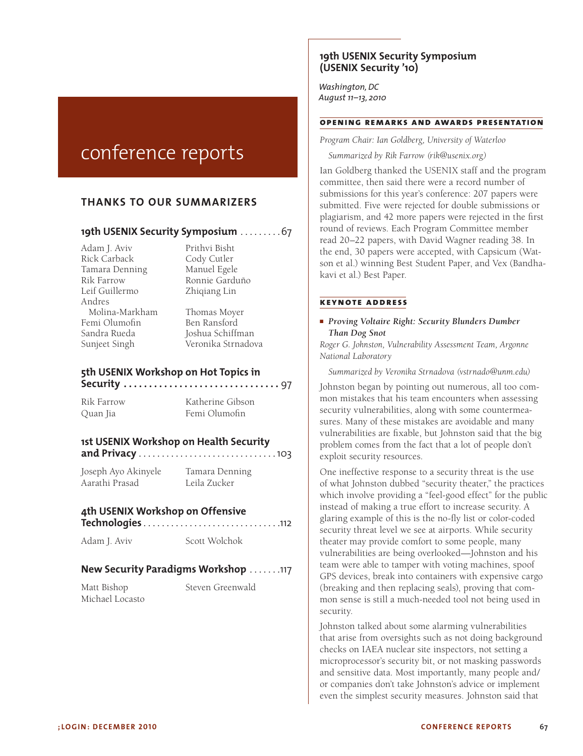# conference reports

# **THANKS TO OUR SUMMARIZERS**

# **19th USENIX Security Symposium** . . . . . . . . 67

Adam J. Aviv Prithvi Bisht Rick Carback Cody Cutler Tamara Denning Manuel Egele Rik Farrow Ronnie Garduño<br>Leif Guillermo Zhioiang Lin Andres Molina-Markham Thomas Moyer Femi Olumofin Ben Ransford Sandra Rueda Joshua Schiffman

Zhiqiang Lin

Sunjeet Singh Veronika Strnadova

# **5th USENIX Workshop on Hot Topics in Security . . . . . . . . . . . . . . . . . . . . . . . . . . . . . . .** 97

Rik Farrow Katherine Gibson Quan Jia Femi Olumofin

# **1st USENIX Workshop on Health Security**

**and Privacy** . . . . . . . . . . . . . . . . . . . . . . . . . . . . . 103

Joseph Ayo Akinyele Tamara Denning Aarathi Prasad Leila Zucker

# **4th USENIX Workshop on Offensive**

**Technologies** . . . . . . . . . . . . . . . . . . . . . . . . . . . . . 112 Adam J. Aviv Scott Wolchok

# **New Security Paradigms Workshop** . . . . . . 117

Matt Bishop Steven Greenwald Michael Locasto

# **19th USENIX Security Symposium (USENIX Security '10)**

*Washington, DC August 11–13, 2010*

# **opening remarks and awards presentation**

*Program Chair: Ian Goldberg, University of Waterloo*

*Summarized by Rik Farrow (rik@usenix.org)*

Ian Goldberg thanked the USENIX staff and the program committee, then said there were a record number of submissions for this year's conference: 207 papers were submitted. Five were rejected for double submissions or plagiarism, and 42 more papers were rejected in the first round of reviews. Each Program Committee member read 20–22 papers, with David Wagner reading 38. In the end, 30 papers were accepted, with Capsicum (Watson et al.) winning Best Student Paper, and Vex (Bandhakavi et al.) Best Paper.

#### **keynote address**

#### ■ *Proving Voltaire Right: Security Blunders Dumber Than Dog Snot*

*Roger G. Johnston, Vulnerability Assessment Team, Argonne National Laboratory*

*Summarized by Veronika Strnadova (vstrnado@unm.edu)*

Johnston began by pointing out numerous, all too common mistakes that his team encounters when assessing security vulnerabilities, along with some countermeasures. Many of these mistakes are avoidable and many vulnerabilities are fixable, but Johnston said that the big problem comes from the fact that a lot of people don't exploit security resources.

One ineffective response to a security threat is the use of what Johnston dubbed "security theater," the practices which involve providing a "feel-good effect" for the public instead of making a true effort to increase security. A glaring example of this is the no-fly list or color-coded security threat level we see at airports. While security theater may provide comfort to some people, many vulnerabilities are being overlooked—Johnston and his team were able to tamper with voting machines, spoof GPS devices, break into containers with expensive cargo (breaking and then replacing seals), proving that common sense is still a much-needed tool not being used in security.

Johnston talked about some alarming vulnerabilities that arise from oversights such as not doing background checks on IAEA nuclear site inspectors, not setting a microprocessor's security bit, or not masking passwords and sensitive data. Most importantly, many people and/ or companies don't take Johnston's advice or implement even the simplest security measures. Johnston said that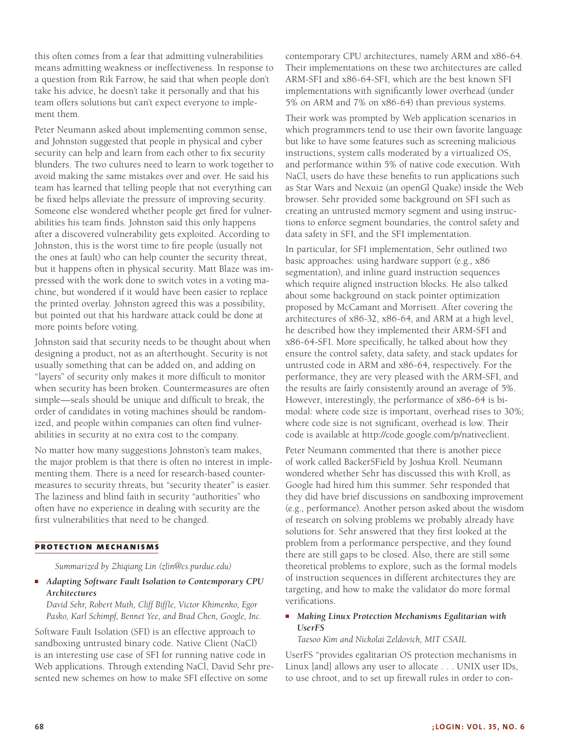this often comes from a fear that admitting vulnerabilities means admitting weakness or ineffectiveness. In response to a question from Rik Farrow, he said that when people don't take his advice, he doesn't take it personally and that his team offers solutions but can't expect everyone to implement them.

Peter Neumann asked about implementing common sense, and Johnston suggested that people in physical and cyber security can help and learn from each other to fix security blunders. The two cultures need to learn to work together to avoid making the same mistakes over and over. He said his team has learned that telling people that not everything can be fixed helps alleviate the pressure of improving security. Someone else wondered whether people get fired for vulnerabilities his team finds. Johnston said this only happens after a discovered vulnerability gets exploited. According to Johnston, this is the worst time to fire people (usually not the ones at fault) who can help counter the security threat, but it happens often in physical security. Matt Blaze was impressed with the work done to switch votes in a voting machine, but wondered if it would have been easier to replace the printed overlay. Johnston agreed this was a possibility, but pointed out that his hardware attack could be done at more points before voting.

Johnston said that security needs to be thought about when designing a product, not as an afterthought. Security is not usually something that can be added on, and adding on "layers" of security only makes it more difficult to monitor when security has been broken. Countermeasures are often simple—seals should be unique and difficult to break, the order of candidates in voting machines should be randomized, and people within companies can often find vulnerabilities in security at no extra cost to the company.

No matter how many suggestions Johnston's team makes, the major problem is that there is often no interest in implementing them. There is a need for research-based countermeasures to security threats, but "security theater" is easier. The laziness and blind faith in security "authorities" who often have no experience in dealing with security are the first vulnerabilities that need to be changed.

#### **protection mechanisms**

*Summarized by Zhiqiang Lin (zlin@cs.purdue.edu)*

■ *Adapting Software Fault Isolation to Contemporary CPU Architectures*

*David Sehr, Robert Muth, Cliff Biffle, Victor Khimenko, Egor Pasko, Karl Schimpf, Bennet Yee, and Brad Chen, Google, Inc.*

Software Fault Isolation (SFI) is an effective approach to sandboxing untrusted binary code. Native Client (NaCl) is an interesting use case of SFI for running native code in Web applications. Through extending NaCl, David Sehr presented new schemes on how to make SFI effective on some

contemporary CPU architectures, namely ARM and x86-64. Their implementations on these two architectures are called ARM-SFI and x86-64-SFI, which are the best known SFI implementations with significantly lower overhead (under 5% on ARM and 7% on x86-64) than previous systems.

Their work was prompted by Web application scenarios in which programmers tend to use their own favorite language but like to have some features such as screening malicious instructions, system calls moderated by a virtualized OS, and performance within 5% of native code execution. With NaCl, users do have these benefits to run applications such as Star Wars and Nexuiz (an openGl Quake) inside the Web browser. Sehr provided some background on SFI such as creating an untrusted memory segment and using instructions to enforce segment boundaries, the control safety and data safety in SFI, and the SFI implementation.

In particular, for SFI implementation, Sehr outlined two basic approaches: using hardware support (e.g., x86 segmentation), and inline guard instruction sequences which require aligned instruction blocks. He also talked about some background on stack pointer optimization proposed by McCamant and Morrisett. After covering the architectures of x86-32, x86-64, and ARM at a high level, he described how they implemented their ARM-SFI and x86-64-SFI. More specifically, he talked about how they ensure the control safety, data safety, and stack updates for untrusted code in ARM and x86-64, respectively. For the performance, they are very pleased with the ARM-SFI, and the results are fairly consistently around an average of 5%. However, interestingly, the performance of x86-64 is bimodal: where code size is important, overhead rises to 30%; where code size is not significant, overhead is low. Their code is available at http://code.google.com/p/nativeclient.

Peter Neumann commented that there is another piece of work called BackerSField by Joshua Kroll. Neumann wondered whether Sehr has discussed this with Kroll, as Google had hired him this summer. Sehr responded that they did have brief discussions on sandboxing improvement (e.g., performance). Another person asked about the wisdom of research on solving problems we probably already have solutions for. Sehr answered that they first looked at the problem from a performance perspective, and they found there are still gaps to be closed. Also, there are still some theoretical problems to explore, such as the formal models of instruction sequences in different architectures they are targeting, and how to make the validator do more formal verifications.

#### ■ *Making Linux Protection Mechanisms Egalitarian with UserFS*

*Taesoo Kim and Nickolai Zeldovich, MIT CSAIL*

UserFS "provides egalitarian OS protection mechanisms in Linux [and] allows any user to allocate . . . UNIX user IDs, to use chroot, and to set up firewall rules in order to con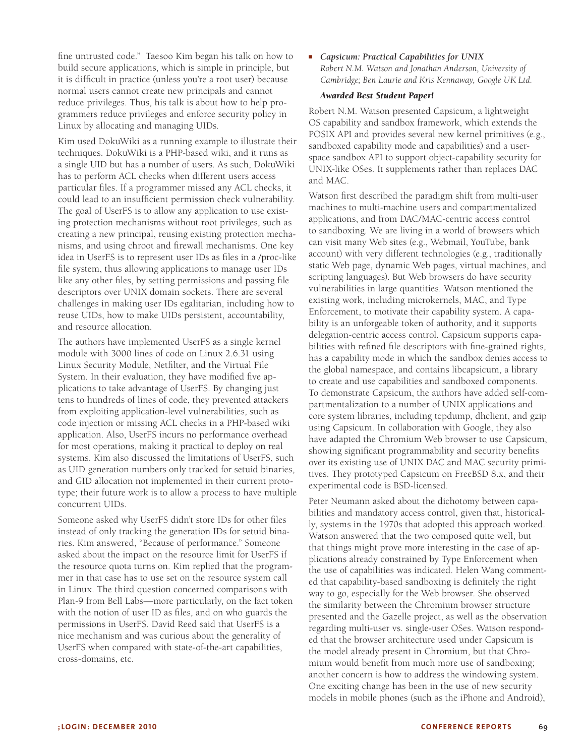fine untrusted code." Taesoo Kim began his talk on how to build secure applications, which is simple in principle, but it is difficult in practice (unless you're a root user) because normal users cannot create new principals and cannot reduce privileges. Thus, his talk is about how to help programmers reduce privileges and enforce security policy in Linux by allocating and managing UIDs.

Kim used DokuWiki as a running example to illustrate their techniques. DokuWiki is a PHP-based wiki, and it runs as a single UID but has a number of users. As such, DokuWiki has to perform ACL checks when different users access particular files. If a programmer missed any ACL checks, it could lead to an insufficient permission check vulnerability. The goal of UserFS is to allow any application to use existing protection mechanisms without root privileges, such as creating a new principal, reusing existing protection mechanisms, and using chroot and firewall mechanisms. One key idea in UserFS is to represent user IDs as files in a /proc-like file system, thus allowing applications to manage user IDs like any other files, by setting permissions and passing file descriptors over UNIX domain sockets. There are several challenges in making user IDs egalitarian, including how to reuse UIDs, how to make UIDs persistent, accountability, and resource allocation.

The authors have implemented UserFS as a single kernel module with 3000 lines of code on Linux 2.6.31 using Linux Security Module, Netfilter, and the Virtual File System. In their evaluation, they have modified five applications to take advantage of UserFS. By changing just tens to hundreds of lines of code, they prevented attackers from exploiting application-level vulnerabilities, such as code injection or missing ACL checks in a PHP-based wiki application. Also, UserFS incurs no performance overhead for most operations, making it practical to deploy on real systems. Kim also discussed the limitations of UserFS, such as UID generation numbers only tracked for setuid binaries, and GID allocation not implemented in their current prototype; their future work is to allow a process to have multiple concurrent UIDs.

Someone asked why UserFS didn't store IDs for other files instead of only tracking the generation IDs for setuid binaries. Kim answered, "Because of performance." Someone asked about the impact on the resource limit for UserFS if the resource quota turns on. Kim replied that the programmer in that case has to use set on the resource system call in Linux. The third question concerned comparisons with Plan-9 from Bell Labs—more particularly, on the fact token with the notion of user ID as files, and on who guards the permissions in UserFS. David Reed said that UserFS is a nice mechanism and was curious about the generality of UserFS when compared with state-of-the-art capabilities, cross-domains, etc.

# ■ *Capsicum: Practical Capabilities for UNIX Robert N.M. Watson and Jonathan Anderson, University of Cambridge; Ben Laurie and Kris Kennaway, Google UK Ltd.*

#### *Awarded Best Student Paper!*

Robert N.M. Watson presented Capsicum, a lightweight OS capability and sandbox framework, which extends the POSIX API and provides several new kernel primitives (e.g., sandboxed capability mode and capabilities) and a userspace sandbox API to support object-capability security for UNIX-like OSes. It supplements rather than replaces DAC and MAC.

Watson first described the paradigm shift from multi-user machines to multi-machine users and compartmentalized applications, and from DAC/MAC-centric access control to sandboxing. We are living in a world of browsers which can visit many Web sites (e.g., Webmail, YouTube, bank account) with very different technologies (e.g., traditionally static Web page, dynamic Web pages, virtual machines, and scripting languages). But Web browsers do have security vulnerabilities in large quantities. Watson mentioned the existing work, including microkernels, MAC, and Type Enforcement, to motivate their capability system. A capability is an unforgeable token of authority, and it supports delegation-centric access control. Capsicum supports capabilities with refined file descriptors with fine-grained rights, has a capability mode in which the sandbox denies access to the global namespace, and contains libcapsicum, a library to create and use capabilities and sandboxed components. To demonstrate Capsicum, the authors have added self-compartmentalization to a number of UNIX applications and core system libraries, including tcpdump, dhclient, and gzip using Capsicum. In collaboration with Google, they also have adapted the Chromium Web browser to use Capsicum, showing significant programmability and security benefits over its existing use of UNIX DAC and MAC security primitives. They prototyped Capsicum on FreeBSD 8.x, and their experimental code is BSD-licensed.

Peter Neumann asked about the dichotomy between capabilities and mandatory access control, given that, historically, systems in the 1970s that adopted this approach worked. Watson answered that the two composed quite well, but that things might prove more interesting in the case of applications already constrained by Type Enforcement when the use of capabilities was indicated. Helen Wang commented that capability-based sandboxing is definitely the right way to go, especially for the Web browser. She observed the similarity between the Chromium browser structure presented and the Gazelle project, as well as the observation regarding multi-user vs. single-user OSes. Watson responded that the browser architecture used under Capsicum is the model already present in Chromium, but that Chromium would benefit from much more use of sandboxing; another concern is how to address the windowing system. One exciting change has been in the use of new security models in mobile phones (such as the iPhone and Android),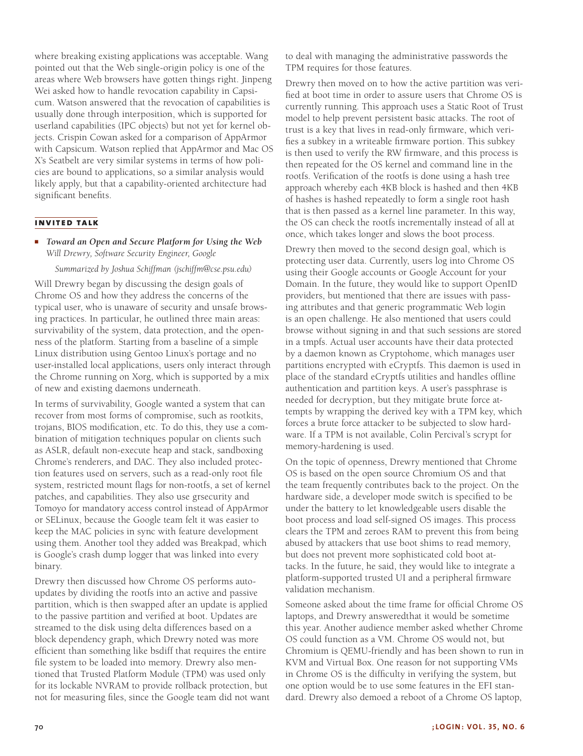where breaking existing applications was acceptable. Wang pointed out that the Web single-origin policy is one of the areas where Web browsers have gotten things right. Jinpeng Wei asked how to handle revocation capability in Capsicum. Watson answered that the revocation of capabilities is usually done through interposition, which is supported for userland capabilities (IPC objects) but not yet for kernel objects. Crispin Cowan asked for a comparison of AppArmor with Capsicum. Watson replied that AppArmor and Mac OS X's Seatbelt are very similar systems in terms of how policies are bound to applications, so a similar analysis would likely apply, but that a capability-oriented architecture had significant benefits.

#### **invited talk**

#### ■ *Toward an Open and Secure Platform for Using the Web Will Drewry, Software Security Engineer, Google*

#### *Summarized by Joshua Schiffman (jschiffm@cse.psu.edu)*

Will Drewry began by discussing the design goals of Chrome OS and how they address the concerns of the typical user, who is unaware of security and unsafe browsing practices. In particular, he outlined three main areas: survivability of the system, data protection, and the openness of the platform. Starting from a baseline of a simple Linux distribution using Gentoo Linux's portage and no user-installed local applications, users only interact through the Chrome running on Xorg, which is supported by a mix of new and existing daemons underneath.

In terms of survivability, Google wanted a system that can recover from most forms of compromise, such as rootkits, trojans, BIOS modification, etc. To do this, they use a combination of mitigation techniques popular on clients such as ASLR, default non-execute heap and stack, sandboxing Chrome's renderers, and DAC. They also included protection features used on servers, such as a read-only root file system, restricted mount flags for non-rootfs, a set of kernel patches, and capabilities. They also use grsecurity and Tomoyo for mandatory access control instead of AppArmor or SELinux, because the Google team felt it was easier to keep the MAC policies in sync with feature development using them. Another tool they added was Breakpad, which is Google's crash dump logger that was linked into every binary.

Drewry then discussed how Chrome OS performs autoupdates by dividing the rootfs into an active and passive partition, which is then swapped after an update is applied to the passive partition and verified at boot. Updates are streamed to the disk using delta differences based on a block dependency graph, which Drewry noted was more efficient than something like bsdiff that requires the entire file system to be loaded into memory. Drewry also mentioned that Trusted Platform Module (TPM) was used only for its lockable NVRAM to provide rollback protection, but not for measuring files, since the Google team did not want to deal with managing the administrative passwords the TPM requires for those features.

Drewry then moved on to how the active partition was verified at boot time in order to assure users that Chrome OS is currently running. This approach uses a Static Root of Trust model to help prevent persistent basic attacks. The root of trust is a key that lives in read-only firmware, which verifies a subkey in a writeable firmware portion. This subkey is then used to verify the RW firmware, and this process is then repeated for the OS kernel and command line in the rootfs. Verification of the rootfs is done using a hash tree approach whereby each 4KB block is hashed and then 4KB of hashes is hashed repeatedly to form a single root hash that is then passed as a kernel line parameter. In this way, the OS can check the rootfs incrementally instead of all at once, which takes longer and slows the boot process.

Drewry then moved to the second design goal, which is protecting user data. Currently, users log into Chrome OS using their Google accounts or Google Account for your Domain. In the future, they would like to support OpenID providers, but mentioned that there are issues with passing attributes and that generic programmatic Web login is an open challenge. He also mentioned that users could browse without signing in and that such sessions are stored in a tmpfs. Actual user accounts have their data protected by a daemon known as Cryptohome, which manages user partitions encrypted with eCryptfs. This daemon is used in place of the standard eCryptfs utilities and handles offline authentication and partition keys. A user's passphrase is needed for decryption, but they mitigate brute force attempts by wrapping the derived key with a TPM key, which forces a brute force attacker to be subjected to slow hardware. If a TPM is not available, Colin Percival's scrypt for memory-hardening is used.

On the topic of openness, Drewry mentioned that Chrome OS is based on the open source Chromium OS and that the team frequently contributes back to the project. On the hardware side, a developer mode switch is specified to be under the battery to let knowledgeable users disable the boot process and load self-signed OS images. This process clears the TPM and zeroes RAM to prevent this from being abused by attackers that use boot shims to read memory, but does not prevent more sophisticated cold boot attacks. In the future, he said, they would like to integrate a platform-supported trusted UI and a peripheral firmware validation mechanism.

Someone asked about the time frame for official Chrome OS laptops, and Drewry answeredthat it would be sometime this year. Another audience member asked whether Chrome OS could function as a VM. Chrome OS would not, but Chromium is QEMU-friendly and has been shown to run in KVM and Virtual Box. One reason for not supporting VMs in Chrome OS is the difficulty in verifying the system, but one option would be to use some features in the EFI standard. Drewry also demoed a reboot of a Chrome OS laptop,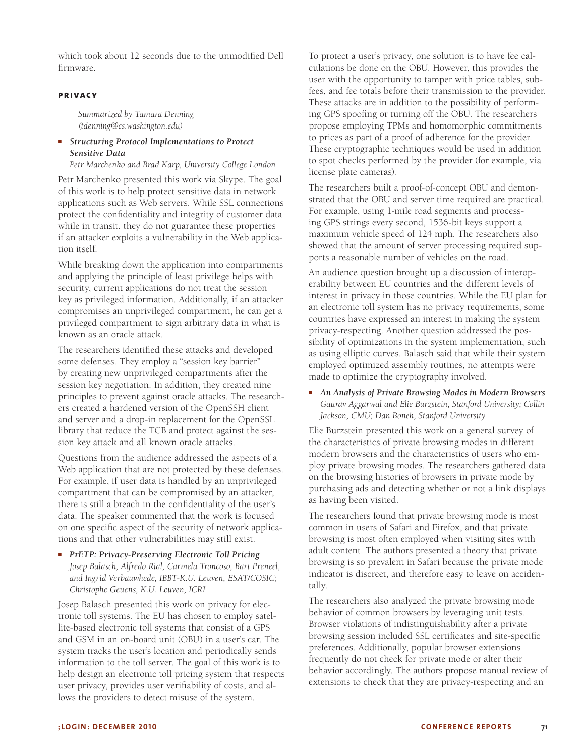which took about 12 seconds due to the unmodified Dell firmware.

#### **privacy**

*Summarized by Tamara Denning (tdenning@cs.washington.edu)*

#### ■ *Structuring Protocol Implementations to Protect Sensitive Data*

*Petr Marchenko and Brad Karp, University College London*

Petr Marchenko presented this work via Skype. The goal of this work is to help protect sensitive data in network applications such as Web servers. While SSL connections protect the confidentiality and integrity of customer data while in transit, they do not guarantee these properties if an attacker exploits a vulnerability in the Web application itself.

While breaking down the application into compartments and applying the principle of least privilege helps with security, current applications do not treat the session key as privileged information. Additionally, if an attacker compromises an unprivileged compartment, he can get a privileged compartment to sign arbitrary data in what is known as an oracle attack.

The researchers identified these attacks and developed some defenses. They employ a "session key barrier" by creating new unprivileged compartments after the session key negotiation. In addition, they created nine principles to prevent against oracle attacks. The researchers created a hardened version of the OpenSSH client and server and a drop-in replacement for the OpenSSL library that reduce the TCB and protect against the session key attack and all known oracle attacks.

Questions from the audience addressed the aspects of a Web application that are not protected by these defenses. For example, if user data is handled by an unprivileged compartment that can be compromised by an attacker, there is still a breach in the confidentiality of the user's data. The speaker commented that the work is focused on one specific aspect of the security of network applications and that other vulnerabilities may still exist.

■ *PrETP: Privacy-Preserving Electronic Toll Pricing Josep Balasch, Alfredo Rial, Carmela Troncoso, Bart Preneel, and Ingrid Verbauwhede, IBBT-K.U. Leuven, ESAT/COSIC; Christophe Geuens, K.U. Leuven, ICRI*

Josep Balasch presented this work on privacy for electronic toll systems. The EU has chosen to employ satellite-based electronic toll systems that consist of a GPS and GSM in an on-board unit (OBU) in a user's car. The system tracks the user's location and periodically sends information to the toll server. The goal of this work is to help design an electronic toll pricing system that respects user privacy, provides user verifiability of costs, and allows the providers to detect misuse of the system.

To protect a user's privacy, one solution is to have fee calculations be done on the OBU. However, this provides the user with the opportunity to tamper with price tables, subfees, and fee totals before their transmission to the provider. These attacks are in addition to the possibility of performing GPS spoofing or turning off the OBU. The researchers propose employing TPMs and homomorphic commitments to prices as part of a proof of adherence for the provider. These cryptographic techniques would be used in addition to spot checks performed by the provider (for example, via license plate cameras).

The researchers built a proof-of-concept OBU and demonstrated that the OBU and server time required are practical. For example, using 1-mile road segments and processing GPS strings every second, 1536-bit keys support a maximum vehicle speed of 124 mph. The researchers also showed that the amount of server processing required supports a reasonable number of vehicles on the road.

An audience question brought up a discussion of interoperability between EU countries and the different levels of interest in privacy in those countries. While the EU plan for an electronic toll system has no privacy requirements, some countries have expressed an interest in making the system privacy-respecting. Another question addressed the possibility of optimizations in the system implementation, such as using elliptic curves. Balasch said that while their system employed optimized assembly routines, no attempts were made to optimize the cryptography involved.

■ *An Analysis of Private Browsing Modes in Modern Browsers Gaurav Aggarwal and Elie Burzstein, Stanford University; Collin Jackson, CMU; Dan Boneh, Stanford University*

Elie Burzstein presented this work on a general survey of the characteristics of private browsing modes in different modern browsers and the characteristics of users who employ private browsing modes. The researchers gathered data on the browsing histories of browsers in private mode by purchasing ads and detecting whether or not a link displays as having been visited.

The researchers found that private browsing mode is most common in users of Safari and Firefox, and that private browsing is most often employed when visiting sites with adult content. The authors presented a theory that private browsing is so prevalent in Safari because the private mode indicator is discreet, and therefore easy to leave on accidentally.

The researchers also analyzed the private browsing mode behavior of common browsers by leveraging unit tests. Browser violations of indistinguishability after a private browsing session included SSL certificates and site-specific preferences. Additionally, popular browser extensions frequently do not check for private mode or alter their behavior accordingly. The authors propose manual review of extensions to check that they are privacy-respecting and an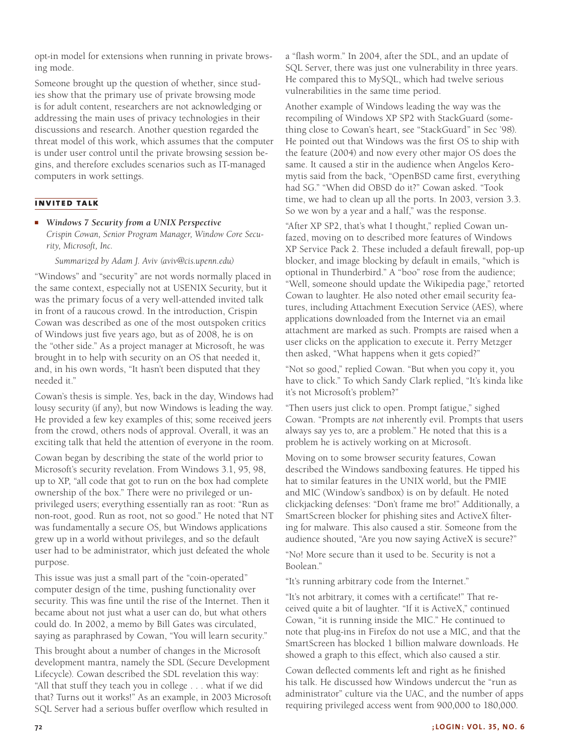opt-in model for extensions when running in private browsing mode.

Someone brought up the question of whether, since studies show that the primary use of private browsing mode is for adult content, researchers are not acknowledging or addressing the main uses of privacy technologies in their discussions and research. Another question regarded the threat model of this work, which assumes that the computer is under user control until the private browsing session begins, and therefore excludes scenarios such as IT-managed computers in work settings.

# **invited talk**

#### ■ *Windows 7 Security from a UNIX Perspective*

*Crispin Cowan, Senior Program Manager, Window Core Security, Microsoft, Inc.*

*Summarized by Adam J. Aviv (aviv@cis.upenn.edu)*

"Windows" and "security" are not words normally placed in the same context, especially not at USENIX Security, but it was the primary focus of a very well-attended invited talk in front of a raucous crowd. In the introduction, Crispin Cowan was described as one of the most outspoken critics of Windows just five years ago, but as of 2008, he is on the "other side." As a project manager at Microsoft, he was brought in to help with security on an OS that needed it, and, in his own words, "It hasn't been disputed that they needed it."

Cowan's thesis is simple. Yes, back in the day, Windows had lousy security (if any), but now Windows is leading the way. He provided a few key examples of this; some received jeers from the crowd, others nods of approval. Overall, it was an exciting talk that held the attention of everyone in the room.

Cowan began by describing the state of the world prior to Microsoft's security revelation. From Windows 3.1, 95, 98, up to XP, "all code that got to run on the box had complete ownership of the box." There were no privileged or unprivileged users; everything essentially ran as root: "Run as non-root, good. Run as root, not so good." He noted that NT was fundamentally a secure OS, but Windows applications grew up in a world without privileges, and so the default user had to be administrator, which just defeated the whole purpose.

This issue was just a small part of the "coin-operated" computer design of the time, pushing functionality over security. This was fine until the rise of the Internet. Then it became about not just what a user can do, but what others could do. In 2002, a memo by Bill Gates was circulated, saying as paraphrased by Cowan, "You will learn security."

This brought about a number of changes in the Microsoft development mantra, namely the SDL (Secure Development Lifecycle). Cowan described the SDL revelation this way: "All that stuff they teach you in college . . . what if we did that? Turns out it works!" As an example, in 2003 Microsoft SQL Server had a serious buffer overflow which resulted in

a "flash worm." In 2004, after the SDL, and an update of SQL Server, there was just one vulnerability in three years. He compared this to MySQL, which had twelve serious vulnerabilities in the same time period.

Another example of Windows leading the way was the recompiling of Windows XP SP2 with StackGuard (something close to Cowan's heart, see "StackGuard" in Sec '98). He pointed out that Windows was the first OS to ship with the feature (2004) and now every other major OS does the same. It caused a stir in the audience when Angelos Keromytis said from the back, "OpenBSD came first, everything had SG." "When did OBSD do it?" Cowan asked. "Took time, we had to clean up all the ports. In 2003, version 3.3. So we won by a year and a half," was the response.

"After XP SP2, that's what I thought," replied Cowan unfazed, moving on to described more features of Windows XP Service Pack 2. These included a default firewall, pop-up blocker, and image blocking by default in emails, "which is optional in Thunderbird." A "boo" rose from the audience; "Well, someone should update the Wikipedia page," retorted Cowan to laughter. He also noted other email security features, including Attachment Execution Service (AES), where applications downloaded from the Internet via an email attachment are marked as such. Prompts are raised when a user clicks on the application to execute it. Perry Metzger then asked, "What happens when it gets copied?"

"Not so good," replied Cowan. "But when you copy it, you have to click." To which Sandy Clark replied, "It's kinda like it's not Microsoft's problem?"

"Then users just click to open. Prompt fatigue," sighed Cowan. "Prompts are *not* inherently evil. Prompts that users always say yes to, are a problem." He noted that this is a problem he is actively working on at Microsoft.

Moving on to some browser security features, Cowan described the Windows sandboxing features. He tipped his hat to similar features in the UNIX world, but the PMIE and MIC (Window's sandbox) is on by default. He noted clickjacking defenses: "Don't frame me bro!" Additionally, a SmartScreen blocker for phishing sites and ActiveX filtering for malware. This also caused a stir. Someone from the audience shouted, "Are you now saying ActiveX is secure?"

"No! More secure than it used to be. Security is not a Boolean."

"It's running arbitrary code from the Internet."

"It's not arbitrary, it comes with a certificate!" That received quite a bit of laughter. "If it is ActiveX," continued Cowan, "it is running inside the MIC." He continued to note that plug-ins in Firefox do not use a MIC, and that the SmartScreen has blocked 1 billion malware downloads. He showed a graph to this effect, which also caused a stir.

Cowan deflected comments left and right as he finished his talk. He discussed how Windows undercut the "run as administrator" culture via the UAC, and the number of apps requiring privileged access went from 900,000 to 180,000.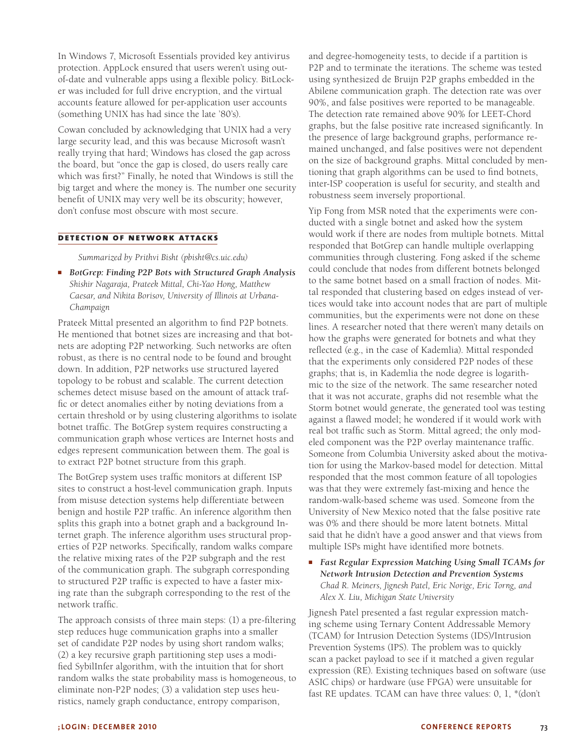In Windows 7, Microsoft Essentials provided key antivirus protection. AppLock ensured that users weren't using outof-date and vulnerable apps using a flexible policy. BitLocker was included for full drive encryption, and the virtual accounts feature allowed for per-application user accounts (something UNIX has had since the late '80's).

Cowan concluded by acknowledging that UNIX had a very large security lead, and this was because Microsoft wasn't really trying that hard; Windows has closed the gap across the board, but "once the gap is closed, do users really care which was first?" Finally, he noted that Windows is still the big target and where the money is. The number one security benefit of UNIX may very well be its obscurity; however, don't confuse most obscure with most secure.

#### **detection of network attacks**

*Summarized by Prithvi Bisht (pbisht@cs.uic.edu)*

■ *BotGrep: Finding P2P Bots with Structured Graph Analysis Shishir Nagaraja, Prateek Mittal, Chi-Yao Hong, Matthew Caesar, and Nikita Borisov, University of Illinois at Urbana-Champaign*

Prateek Mittal presented an algorithm to find P2P botnets. He mentioned that botnet sizes are increasing and that botnets are adopting P2P networking. Such networks are often robust, as there is no central node to be found and brought down. In addition, P2P networks use structured layered topology to be robust and scalable. The current detection schemes detect misuse based on the amount of attack traffic or detect anomalies either by noting deviations from a certain threshold or by using clustering algorithms to isolate botnet traffic. The BotGrep system requires constructing a communication graph whose vertices are Internet hosts and edges represent communication between them. The goal is to extract P2P botnet structure from this graph.

The BotGrep system uses traffic monitors at different ISP sites to construct a host-level communication graph. Inputs from misuse detection systems help differentiate between benign and hostile P2P traffic. An inference algorithm then splits this graph into a botnet graph and a background Internet graph. The inference algorithm uses structural properties of P2P networks. Specifically, random walks compare the relative mixing rates of the P2P subgraph and the rest of the communication graph. The subgraph corresponding to structured P2P traffic is expected to have a faster mixing rate than the subgraph corresponding to the rest of the network traffic.

The approach consists of three main steps: (1) a pre-filtering step reduces huge communication graphs into a smaller set of candidate P2P nodes by using short random walks; (2) a key recursive graph partitioning step uses a modified SybilInfer algorithm, with the intuition that for short random walks the state probability mass is homogeneous, to eliminate non-P2P nodes; (3) a validation step uses heuristics, namely graph conductance, entropy comparison,

and degree-homogeneity tests, to decide if a partition is P2P and to terminate the iterations. The scheme was tested using synthesized de Bruijn P2P graphs embedded in the Abilene communication graph. The detection rate was over 90%, and false positives were reported to be manageable. The detection rate remained above 90% for LEET-Chord graphs, but the false positive rate increased significantly. In the presence of large background graphs, performance remained unchanged, and false positives were not dependent on the size of background graphs. Mittal concluded by mentioning that graph algorithms can be used to find botnets, inter-ISP cooperation is useful for security, and stealth and robustness seem inversely proportional.

Yip Fong from MSR noted that the experiments were conducted with a single botnet and asked how the system would work if there are nodes from multiple botnets. Mittal responded that BotGrep can handle multiple overlapping communities through clustering. Fong asked if the scheme could conclude that nodes from different botnets belonged to the same botnet based on a small fraction of nodes. Mittal responded that clustering based on edges instead of vertices would take into account nodes that are part of multiple communities, but the experiments were not done on these lines. A researcher noted that there weren't many details on how the graphs were generated for botnets and what they reflected (e.g., in the case of Kademlia). Mittal responded that the experiments only considered P2P nodes of these graphs; that is, in Kademlia the node degree is logarithmic to the size of the network. The same researcher noted that it was not accurate, graphs did not resemble what the Storm botnet would generate, the generated tool was testing against a flawed model; he wondered if it would work with real bot traffic such as Storm. Mittal agreed; the only modeled component was the P2P overlay maintenance traffic. Someone from Columbia University asked about the motivation for using the Markov-based model for detection. Mittal responded that the most common feature of all topologies was that they were extremely fast-mixing and hence the random-walk-based scheme was used. Someone from the University of New Mexico noted that the false positive rate was 0% and there should be more latent botnets. Mittal said that he didn't have a good answer and that views from multiple ISPs might have identified more botnets.

**Fast Regular Expression Matching Using Small TCAMs for** *Network Intrusion Detection and Prevention Systems Chad R. Meiners, Jignesh Patel, Eric Norige, Eric Torng, and Alex X. Liu, Michigan State University*

Jignesh Patel presented a fast regular expression matching scheme using Ternary Content Addressable Memory (TCAM) for Intrusion Detection Systems (IDS)/Intrusion Prevention Systems (IPS). The problem was to quickly scan a packet payload to see if it matched a given regular expression (RE). Existing techniques based on software (use ASIC chips) or hardware (use FPGA) were unsuitable for fast RE updates. TCAM can have three values: 0, 1, \*(don't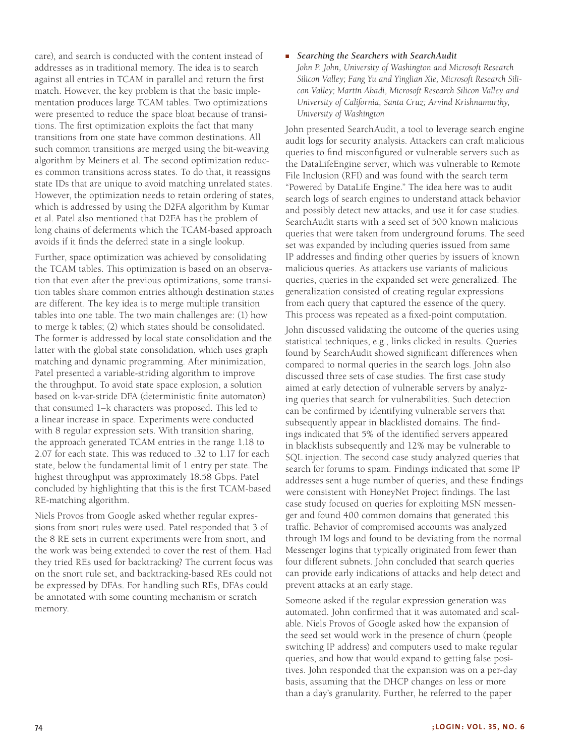care), and search is conducted with the content instead of addresses as in traditional memory. The idea is to search against all entries in TCAM in parallel and return the first match. However, the key problem is that the basic implementation produces large TCAM tables. Two optimizations were presented to reduce the space bloat because of transitions. The first optimization exploits the fact that many transitions from one state have common destinations. All such common transitions are merged using the bit-weaving algorithm by Meiners et al. The second optimization reduces common transitions across states. To do that, it reassigns state IDs that are unique to avoid matching unrelated states. However, the optimization needs to retain ordering of states, which is addressed by using the D2FA algorithm by Kumar et al. Patel also mentioned that D2FA has the problem of long chains of deferments which the TCAM-based approach avoids if it finds the deferred state in a single lookup.

Further, space optimization was achieved by consolidating the TCAM tables. This optimization is based on an observation that even after the previous optimizations, some transition tables share common entries although destination states are different. The key idea is to merge multiple transition tables into one table. The two main challenges are: (1) how to merge k tables; (2) which states should be consolidated. The former is addressed by local state consolidation and the latter with the global state consolidation, which uses graph matching and dynamic programming. After minimization, Patel presented a variable-striding algorithm to improve the throughput. To avoid state space explosion, a solution based on k-var-stride DFA (deterministic finite automaton) that consumed 1–k characters was proposed. This led to a linear increase in space. Experiments were conducted with 8 regular expression sets. With transition sharing, the approach generated TCAM entries in the range 1.18 to 2.07 for each state. This was reduced to .32 to 1.17 for each state, below the fundamental limit of 1 entry per state. The highest throughput was approximately 18.58 Gbps. Patel concluded by highlighting that this is the first TCAM-based RE-matching algorithm.

Niels Provos from Google asked whether regular expressions from snort rules were used. Patel responded that 3 of the 8 RE sets in current experiments were from snort, and the work was being extended to cover the rest of them. Had they tried REs used for backtracking? The current focus was on the snort rule set, and backtracking-based REs could not be expressed by DFAs. For handling such REs, DFAs could be annotated with some counting mechanism or scratch memory.

#### ■ *Searching the Searchers with SearchAudit*

*John P. John, University of Washington and Microsoft Research Silicon Valley; Fang Yu and Yinglian Xie, Microsoft Research Silicon Valley; Martín Abadi, Microsoft Research Silicon Valley and University of California, Santa Cruz; Arvind Krishnamurthy, University of Washington*

John presented SearchAudit, a tool to leverage search engine audit logs for security analysis. Attackers can craft malicious queries to find misconfigured or vulnerable servers such as the DataLifeEngine server, which was vulnerable to Remote File Inclusion (RFI) and was found with the search term "Powered by DataLife Engine." The idea here was to audit search logs of search engines to understand attack behavior and possibly detect new attacks, and use it for case studies. SearchAudit starts with a seed set of 500 known malicious queries that were taken from underground forums. The seed set was expanded by including queries issued from same IP addresses and finding other queries by issuers of known malicious queries. As attackers use variants of malicious queries, queries in the expanded set were generalized. The generalization consisted of creating regular expressions from each query that captured the essence of the query. This process was repeated as a fixed-point computation.

John discussed validating the outcome of the queries using statistical techniques, e.g., links clicked in results. Queries found by SearchAudit showed significant differences when compared to normal queries in the search logs. John also discussed three sets of case studies. The first case study aimed at early detection of vulnerable servers by analyzing queries that search for vulnerabilities. Such detection can be confirmed by identifying vulnerable servers that subsequently appear in blacklisted domains. The findings indicated that 5% of the identified servers appeared in blacklists subsequently and 12% may be vulnerable to SQL injection. The second case study analyzed queries that search for forums to spam. Findings indicated that some IP addresses sent a huge number of queries, and these findings were consistent with HoneyNet Project findings. The last case study focused on queries for exploiting MSN messenger and found 400 common domains that generated this traffic. Behavior of compromised accounts was analyzed through IM logs and found to be deviating from the normal Messenger logins that typically originated from fewer than four different subnets. John concluded that search queries can provide early indications of attacks and help detect and prevent attacks at an early stage.

Someone asked if the regular expression generation was automated. John confirmed that it was automated and scalable. Niels Provos of Google asked how the expansion of the seed set would work in the presence of churn (people switching IP address) and computers used to make regular queries, and how that would expand to getting false positives. John responded that the expansion was on a per-day basis, assuming that the DHCP changes on less or more than a day's granularity. Further, he referred to the paper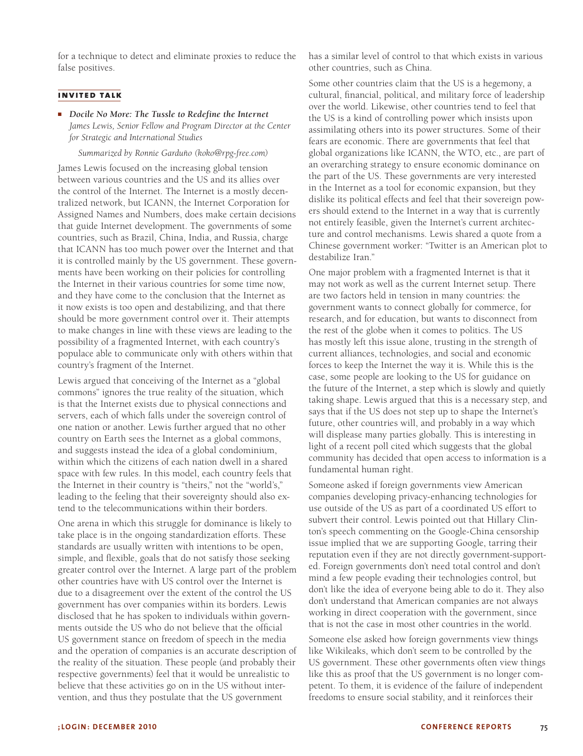for a technique to detect and eliminate proxies to reduce the false positives.

#### **invited talk**

■ *Docile No More: The Tussle to Redefine the Internet James Lewis, Senior Fellow and Program Director at the Center for Strategic and International Studies*

#### *Summarized by Ronnie Garduño (koko@rpg-free.com)*

James Lewis focused on the increasing global tension between various countries and the US and its allies over the control of the Internet. The Internet is a mostly decentralized network, but ICANN, the Internet Corporation for Assigned Names and Numbers, does make certain decisions that guide Internet development. The governments of some countries, such as Brazil, China, India, and Russia, charge that ICANN has too much power over the Internet and that it is controlled mainly by the US government. These governments have been working on their policies for controlling the Internet in their various countries for some time now, and they have come to the conclusion that the Internet as it now exists is too open and destabilizing, and that there should be more government control over it. Their attempts to make changes in line with these views are leading to the possibility of a fragmented Internet, with each country's populace able to communicate only with others within that country's fragment of the Internet.

Lewis argued that conceiving of the Internet as a "global commons" ignores the true reality of the situation, which is that the Internet exists due to physical connections and servers, each of which falls under the sovereign control of one nation or another. Lewis further argued that no other country on Earth sees the Internet as a global commons, and suggests instead the idea of a global condominium, within which the citizens of each nation dwell in a shared space with few rules. In this model, each country feels that the Internet in their country is "theirs," not the "world's," leading to the feeling that their sovereignty should also extend to the telecommunications within their borders.

One arena in which this struggle for dominance is likely to take place is in the ongoing standardization efforts. These standards are usually written with intentions to be open, simple, and flexible, goals that do not satisfy those seeking greater control over the Internet. A large part of the problem other countries have with US control over the Internet is due to a disagreement over the extent of the control the US government has over companies within its borders. Lewis disclosed that he has spoken to individuals within governments outside the US who do not believe that the official US government stance on freedom of speech in the media and the operation of companies is an accurate description of the reality of the situation. These people (and probably their respective governments) feel that it would be unrealistic to believe that these activities go on in the US without intervention, and thus they postulate that the US government

has a similar level of control to that which exists in various other countries, such as China.

Some other countries claim that the US is a hegemony, a cultural, financial, political, and military force of leadership over the world. Likewise, other countries tend to feel that the US is a kind of controlling power which insists upon assimilating others into its power structures. Some of their fears are economic. There are governments that feel that global organizations like ICANN, the WTO, etc., are part of an overarching strategy to ensure economic dominance on the part of the US. These governments are very interested in the Internet as a tool for economic expansion, but they dislike its political effects and feel that their sovereign powers should extend to the Internet in a way that is currently not entirely feasible, given the Internet's current architecture and control mechanisms. Lewis shared a quote from a Chinese government worker: "Twitter is an American plot to destabilize Iran."

One major problem with a fragmented Internet is that it may not work as well as the current Internet setup. There are two factors held in tension in many countries: the government wants to connect globally for commerce, for research, and for education, but wants to disconnect from the rest of the globe when it comes to politics. The US has mostly left this issue alone, trusting in the strength of current alliances, technologies, and social and economic forces to keep the Internet the way it is. While this is the case, some people are looking to the US for guidance on the future of the Internet, a step which is slowly and quietly taking shape. Lewis argued that this is a necessary step, and says that if the US does not step up to shape the Internet's future, other countries will, and probably in a way which will displease many parties globally. This is interesting in light of a recent poll cited which suggests that the global community has decided that open access to information is a fundamental human right.

Someone asked if foreign governments view American companies developing privacy-enhancing technologies for use outside of the US as part of a coordinated US effort to subvert their control. Lewis pointed out that Hillary Clinton's speech commenting on the Google-China censorship issue implied that we are supporting Google, tarring their reputation even if they are not directly government-supported. Foreign governments don't need total control and don't mind a few people evading their technologies control, but don't like the idea of everyone being able to do it. They also don't understand that American companies are not always working in direct cooperation with the government, since that is not the case in most other countries in the world.

Someone else asked how foreign governments view things like Wikileaks, which don't seem to be controlled by the US government. These other governments often view things like this as proof that the US government is no longer competent. To them, it is evidence of the failure of independent freedoms to ensure social stability, and it reinforces their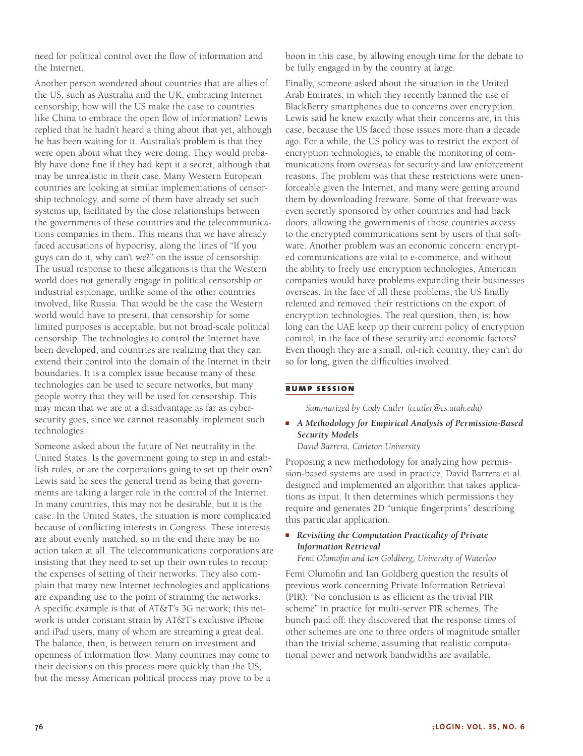need for political control over the flow of information and the Internet.

Another person wondered about countries that are allies of the US, such as Australia and the UK, embracing Internet censorship; how will the US make the case to countries like China to embrace the open flow of information? Lewis replied that he hadn't heard a thing about that yet, although he has been waiting for it. Australia's problem is that they were open about what they were doing. They would probably have done fine if they had kept it a secret, although that may be unrealistic in their case. Many Western European countries are looking at similar implementations of censorship technology, and some of them have already set such systems up, facilitated by the close relationships between the governments of these countries and the telecommunications companies in them. This means that we have already faced accusations of hypocrisy, along the lines of "If you guys can do it, why can't we?" on the issue of censorship. The usual response to these allegations is that the Western world does not generally engage in political censorship or industrial espionage, unlike some of the other countries involved, like Russia. That would be the case the Western world would have to present, that censorship for some limited purposes is acceptable, but not broad-scale political censorship. The technologies to control the Internet have been developed, and countries are realizing that they can extend their control into the domain of the Internet in their boundaries. It is a complex issue because many of these technologies can be used to secure networks, but many people worry that they will be used for censorship. This may mean that we are at a disadvantage as far as cybersecurity goes, since we cannot reasonably implement such technologies.

Someone asked about the future of Net neutrality in the United States. Is the government going to step in and establish rules, or are the corporations going to set up their own? Lewis said he sees the general trend as being that governments are taking a larger role in the control of the Internet. In many countries, this may not be desirable, but it is the case. In the United States, the situation is more complicated because of conflicting interests in Congress. These interests are about evenly matched, so in the end there may be no action taken at all. The telecommunications corporations are insisting that they need to set up their own rules to recoup the expenses of setting of their networks. They also complain that many new Internet technologies and applications are expanding use to the point of straining the networks. A specific example is that of AT&T's 3G network; this network is under constant strain by AT&T's exclusive iPhone and iPad users, many of whom are streaming a great deal. The balance, then, is between return on investment and openness of information flow. Many countries may come to their decisions on this process more quickly than the US, but the messy American political process may prove to be a

boon in this case, by allowing enough time for the debate to be fully engaged in by the country at large.

Finally, someone asked about the situation in the United Arab Emirates, in which they recently banned the use of BlackBerry smartphones due to concerns over encryption. Lewis said he knew exactly what their concerns are, in this case, because the US faced those issues more than a decade ago. For a while, the US policy was to restrict the export of encryption technologies, to enable the monitoring of communications from overseas for security and law enforcement reasons. The problem was that these restrictions were unenforceable given the Internet, and many were getting around them by downloading freeware. Some of that freeware was even secretly sponsored by other countries and had back doors, allowing the governments of those countries access to the encrypted communications sent by users of that software. Another problem was an economic concern: encrypted communications are vital to e-commerce, and without the ability to freely use encryption technologies, American companies would have problems expanding their businesses overseas. In the face of all these problems, the US finally relented and removed their restrictions on the export of encryption technologies. The real question, then, is: how long can the UAE keep up their current policy of encryption control, in the face of these security and economic factors? Even though they are a small, oil-rich country, they can't do so for long, given the difficulties involved.

#### **rump session**

*Summarized by Cody Cutler (ccutler@cs.utah.edu)*

■ *A Methodology for Empirical Analysis of Permission-Based Security Models*

*David Barrera, Carleton University*

Proposing a new methodology for analyzing how permission-based systems are used in practice, David Barrera et al. designed and implemented an algorithm that takes applications as input. It then determines which permissions they require and generates 2D "unique fingerprints" describing this particular application.

### ■ *Revisiting the Computation Practicality of Private Information Retrieval*

*Femi Olumofin and Ian Goldberg, University of Waterloo*

Femi Olumofin and Ian Goldberg question the results of previous work concerning Private Information Retrieval (PIR): "No conclusion is as efficient as the trivial PIR scheme" in practice for multi-server PIR schemes. The hunch paid off: they discovered that the response times of other schemes are one to three orders of magnitude smaller than the trivial scheme, assuming that realistic computational power and network bandwidths are available.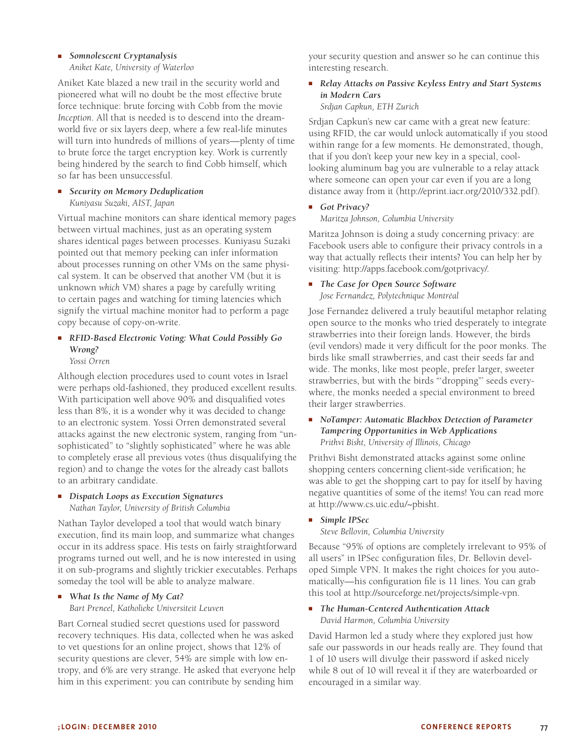# ■ *Somnolescent Cryptanalysis*

*Aniket Kate, University of Waterloo*

Aniket Kate blazed a new trail in the security world and pioneered what will no doubt be the most effective brute force technique: brute forcing with Cobb from the movie *Inception*. All that is needed is to descend into the dreamworld five or six layers deep, where a few real-life minutes will turn into hundreds of millions of years—plenty of time to brute force the target encryption key. Work is currently being hindered by the search to find Cobb himself, which so far has been unsuccessful.

■ *Security on Memory Deduplication Kuniyasu Suzaki, AIST, Japan*

Virtual machine monitors can share identical memory pages between virtual machines, just as an operating system shares identical pages between processes. Kuniyasu Suzaki pointed out that memory peeking can infer information about processes running on other VMs on the same physical system. It can be observed that another VM (but it is unknown *which* VM) shares a page by carefully writing to certain pages and watching for timing latencies which signify the virtual machine monitor had to perform a page copy because of copy-on-write.

# ■ *RFID-Based Electronic Voting: What Could Possibly Go Wrong?*

*Yossi Orren*

Although election procedures used to count votes in Israel were perhaps old-fashioned, they produced excellent results. With participation well above 90% and disqualified votes less than 8%, it is a wonder why it was decided to change to an electronic system. Yossi Orren demonstrated several attacks against the new electronic system, ranging from "unsophisticated" to "slightly sophisticated" where he was able to completely erase all previous votes (thus disqualifying the region) and to change the votes for the already cast ballots to an arbitrary candidate.

# ■ *Dispatch Loops as Execution Signatures*

*Nathan Taylor, University of British Columbia*

Nathan Taylor developed a tool that would watch binary execution, find its main loop, and summarize what changes occur in its address space. His tests on fairly straightforward programs turned out well, and he is now interested in using it on sub-programs and slightly trickier executables. Perhaps someday the tool will be able to analyze malware.

#### ■ *What Is the Name of My Cat? Bart Preneel, Katholieke Universiteit Leuven*

Bart Corneal studied secret questions used for password recovery techniques. His data, collected when he was asked to vet questions for an online project, shows that 12% of security questions are clever, 54% are simple with low entropy, and 6% are very strange. He asked that everyone help him in this experiment: you can contribute by sending him

your security question and answer so he can continue this interesting research.

■ *Relay Attacks on Passive Keyless Entry and Start Systems in Modern Cars*

# *Srdjan Capkun, ETH Zurich*

Srdjan Capkun's new car came with a great new feature: using RFID, the car would unlock automatically if you stood within range for a few moments. He demonstrated, though, that if you don't keep your new key in a special, coollooking aluminum bag you are vulnerable to a relay attack where someone can open your car even if you are a long distance away from it (http://eprint.iacr.org/2010/332.pdf).

# ■ *Got Privacy?*

#### *Maritza Johnson, Columbia University*

Maritza Johnson is doing a study concerning privacy: are Facebook users able to configure their privacy controls in a way that actually reflects their intents? You can help her by visiting: http://apps.facebook.com/gotprivacy/.

# ■ *The Case for Open Source Software*

*Jose Fernandez, Polytechnique Montréal*

Jose Fernandez delivered a truly beautiful metaphor relating open source to the monks who tried desperately to integrate strawberries into their foreign lands. However, the birds (evil vendors) made it very difficult for the poor monks. The birds like small strawberries, and cast their seeds far and wide. The monks, like most people, prefer larger, sweeter strawberries, but with the birds "'dropping"' seeds everywhere, the monks needed a special environment to breed their larger strawberries.

#### ■ *NoTamper: Automatic Blackbox Detection of Parameter Tampering Opportunities in Web Applications Prithvi Bisht, University of Illinois, Chicago*

Prithvi Bisht demonstrated attacks against some online shopping centers concerning client-side verification; he was able to get the shopping cart to pay for itself by having negative quantities of some of the items! You can read more at http://www.cs.uic.edu/~pbisht.

# ■ *Simple IPSec*

*Steve Bellovin, Columbia University*

Because "95% of options are completely irrelevant to 95% of all users" in IPSec configuration files, Dr. Bellovin developed Simple VPN. It makes the right choices for you automatically—his configuration file is 11 lines. You can grab this tool at http://sourceforge.net/projects/simple-vpn.

#### ■ *The Human-Centered Authentication Attack David Harmon, Columbia University*

David Harmon led a study where they explored just how safe our passwords in our heads really are. They found that 1 of 10 users will divulge their password if asked nicely while 8 out of 10 will reveal it if they are waterboarded or encouraged in a similar way.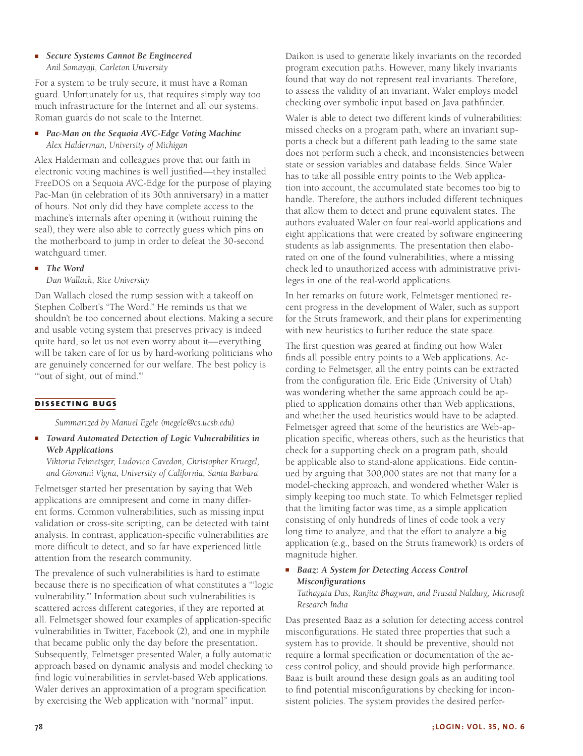■ *Secure Systems Cannot Be Engineered Anil Somayaji, Carleton University*

For a system to be truly secure, it must have a Roman guard. Unfortunately for us, that requires simply way too much infrastructure for the Internet and all our systems. Roman guards do not scale to the Internet.

# ■ *Pac-Man on the Sequoia AVC-Edge Voting Machine Alex Halderman, University of Michigan*

Alex Halderman and colleagues prove that our faith in electronic voting machines is well justified—they installed FreeDOS on a Sequoia AVC-Edge for the purpose of playing Pac-Man (in celebration of its 30th anniversary) in a matter of hours. Not only did they have complete access to the machine's internals after opening it (without ruining the seal), they were also able to correctly guess which pins on the motherboard to jump in order to defeat the 30-second watchguard timer.

# ■ *The Word*

#### *Dan Wallach, Rice University*

Dan Wallach closed the rump session with a takeoff on Stephen Colbert's "The Word." He reminds us that we shouldn't be too concerned about elections. Making a secure and usable voting system that preserves privacy is indeed quite hard, so let us not even worry about it—everything will be taken care of for us by hard-working politicians who are genuinely concerned for our welfare. The best policy is '"out of sight, out of mind."'

# **dissecting bugs**

*Summarized by Manuel Egele (megele@cs.ucsb.edu)*

■ *Toward Automated Detection of Logic Vulnerabilities in Web Applications*

*Viktoria Felmetsger, Ludovico Cavedon, Christopher Kruegel, and Giovanni Vigna, University of California, Santa Barbara*

Felmetsger started her presentation by saying that Web applications are omnipresent and come in many different forms. Common vulnerabilities, such as missing input validation or cross-site scripting, can be detected with taint analysis. In contrast, application-specific vulnerabilities are more difficult to detect, and so far have experienced little attention from the research community.

The prevalence of such vulnerabilities is hard to estimate because there is no specification of what constitutes a "'logic vulnerability."' Information about such vulnerabilities is scattered across different categories, if they are reported at all. Felmetsger showed four examples of application-specific vulnerabilities in Twitter, Facebook (2), and one in myphile that became public only the day before the presentation. Subsequently, Felmetsger presented Waler, a fully automatic approach based on dynamic analysis and model checking to find logic vulnerabilities in servlet-based Web applications. Waler derives an approximation of a program specification by exercising the Web application with "normal" input.

Daikon is used to generate likely invariants on the recorded program execution paths. However, many likely invariants found that way do not represent real invariants. Therefore, to assess the validity of an invariant, Waler employs model checking over symbolic input based on Java pathfinder.

Waler is able to detect two different kinds of vulnerabilities: missed checks on a program path, where an invariant supports a check but a different path leading to the same state does not perform such a check, and inconsistencies between state or session variables and database fields. Since Waler has to take all possible entry points to the Web application into account, the accumulated state becomes too big to handle. Therefore, the authors included different techniques that allow them to detect and prune equivalent states. The authors evaluated Waler on four real-world applications and eight applications that were created by software engineering students as lab assignments. The presentation then elaborated on one of the found vulnerabilities, where a missing check led to unauthorized access with administrative privileges in one of the real-world applications.

In her remarks on future work, Felmetsger mentioned recent progress in the development of Waler, such as support for the Struts framework, and their plans for experimenting with new heuristics to further reduce the state space.

The first question was geared at finding out how Waler finds all possible entry points to a Web applications. According to Felmetsger, all the entry points can be extracted from the configuration file. Eric Eide (University of Utah) was wondering whether the same approach could be applied to application domains other than Web applications, and whether the used heuristics would have to be adapted. Felmetsger agreed that some of the heuristics are Web-application specific, whereas others, such as the heuristics that check for a supporting check on a program path, should be applicable also to stand-alone applications. Eide continued by arguing that 300,000 states are not that many for a model-checking approach, and wondered whether Waler is simply keeping too much state. To which Felmetsger replied that the limiting factor was time, as a simple application consisting of only hundreds of lines of code took a very long time to analyze, and that the effort to analyze a big application (e.g., based on the Struts framework) is orders of magnitude higher.

# ■ *Baaz: A System for Detecting Access Control Misconfigurations*

*Tathagata Das, Ranjita Bhagwan, and Prasad Naldurg, Microsoft Research India*

Das presented Baaz as a solution for detecting access control misconfigurations. He stated three properties that such a system has to provide. It should be preventive, should not require a formal specification or documentation of the access control policy, and should provide high performance. Baaz is built around these design goals as an auditing tool to find potential misconfigurations by checking for inconsistent policies. The system provides the desired perfor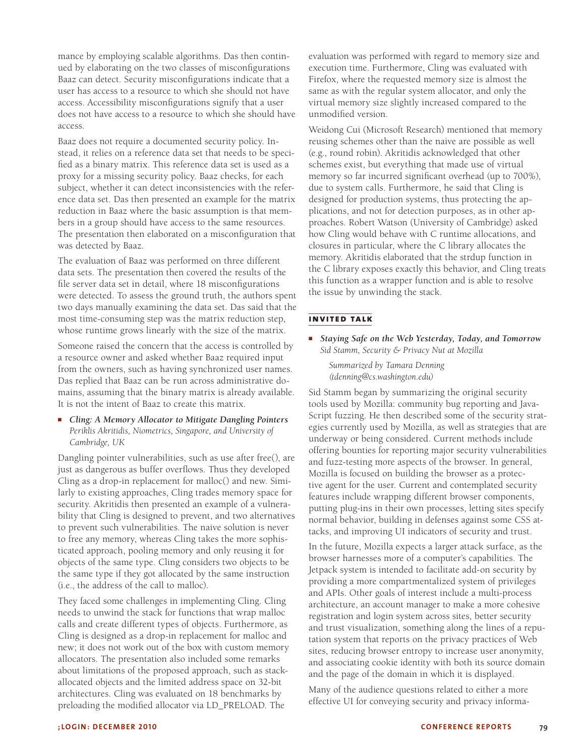mance by employing scalable algorithms. Das then continued by elaborating on the two classes of misconfigurations Baaz can detect. Security misconfigurations indicate that a user has access to a resource to which she should not have access. Accessibility misconfigurations signify that a user does not have access to a resource to which she should have access.

Baaz does not require a documented security policy. Instead, it relies on a reference data set that needs to be specified as a binary matrix. This reference data set is used as a proxy for a missing security policy. Baaz checks, for each subject, whether it can detect inconsistencies with the reference data set. Das then presented an example for the matrix reduction in Baaz where the basic assumption is that members in a group should have access to the same resources. The presentation then elaborated on a misconfiguration that was detected by Baaz.

The evaluation of Baaz was performed on three different data sets. The presentation then covered the results of the file server data set in detail, where 18 misconfigurations were detected. To assess the ground truth, the authors spent two days manually examining the data set. Das said that the most time-consuming step was the matrix reduction step, whose runtime grows linearly with the size of the matrix.

Someone raised the concern that the access is controlled by a resource owner and asked whether Baaz required input from the owners, such as having synchronized user names. Das replied that Baaz can be run across administrative domains, assuming that the binary matrix is already available. It is not the intent of Baaz to create this matrix.

■ *Cling: A Memory Allocator to Mitigate Dangling Pointers Periklis Akritidis, Niometrics, Singapore, and University of Cambridge, UK*

Dangling pointer vulnerabilities, such as use after free(), are just as dangerous as buffer overflows. Thus they developed Cling as a drop-in replacement for malloc() and new. Similarly to existing approaches, Cling trades memory space for security. Akritidis then presented an example of a vulnerability that Cling is designed to prevent, and two alternatives to prevent such vulnerabilities. The naive solution is never to free any memory, whereas Cling takes the more sophisticated approach, pooling memory and only reusing it for objects of the same type. Cling considers two objects to be the same type if they got allocated by the same instruction (i.e., the address of the call to malloc).

They faced some challenges in implementing Cling. Cling needs to unwind the stack for functions that wrap malloc calls and create different types of objects. Furthermore, as Cling is designed as a drop-in replacement for malloc and new; it does not work out of the box with custom memory allocators. The presentation also included some remarks about limitations of the proposed approach, such as stackallocated objects and the limited address space on 32-bit architectures. Cling was evaluated on 18 benchmarks by preloading the modified allocator via LD\_PRELOAD. The

evaluation was performed with regard to memory size and execution time. Furthermore, Cling was evaluated with Firefox, where the requested memory size is almost the same as with the regular system allocator, and only the virtual memory size slightly increased compared to the unmodified version.

Weidong Cui (Microsoft Research) mentioned that memory reusing schemes other than the naive are possible as well (e.g., round robin). Akritidis acknowledged that other schemes exist, but everything that made use of virtual memory so far incurred significant overhead (up to 700%), due to system calls. Furthermore, he said that Cling is designed for production systems, thus protecting the applications, and not for detection purposes, as in other approaches. Robert Watson (University of Cambridge) asked how Cling would behave with C runtime allocations, and closures in particular, where the C library allocates the memory. Akritidis elaborated that the strdup function in the C library exposes exactly this behavior, and Cling treats this function as a wrapper function and is able to resolve the issue by unwinding the stack.

# **invited talk**

■ *Staying Safe on the Web Yesterday, Today, and Tomorrow Sid Stamm, Security & Privacy Nut at Mozilla*

*Summarized by Tamara Denning (tdenning@cs.washington.edu)*

Sid Stamm began by summarizing the original security tools used by Mozilla: community bug reporting and Java-Script fuzzing. He then described some of the security strategies currently used by Mozilla, as well as strategies that are underway or being considered. Current methods include offering bounties for reporting major security vulnerabilities and fuzz-testing more aspects of the browser. In general, Mozilla is focused on building the browser as a protective agent for the user. Current and contemplated security features include wrapping different browser components, putting plug-ins in their own processes, letting sites specify normal behavior, building in defenses against some CSS attacks, and improving UI indicators of security and trust.

In the future, Mozilla expects a larger attack surface, as the browser harnesses more of a computer's capabilities. The Jetpack system is intended to facilitate add-on security by providing a more compartmentalized system of privileges and APIs. Other goals of interest include a multi-process architecture, an account manager to make a more cohesive registration and login system across sites, better security and trust visualization, something along the lines of a reputation system that reports on the privacy practices of Web sites, reducing browser entropy to increase user anonymity, and associating cookie identity with both its source domain and the page of the domain in which it is displayed.

Many of the audience questions related to either a more effective UI for conveying security and privacy informa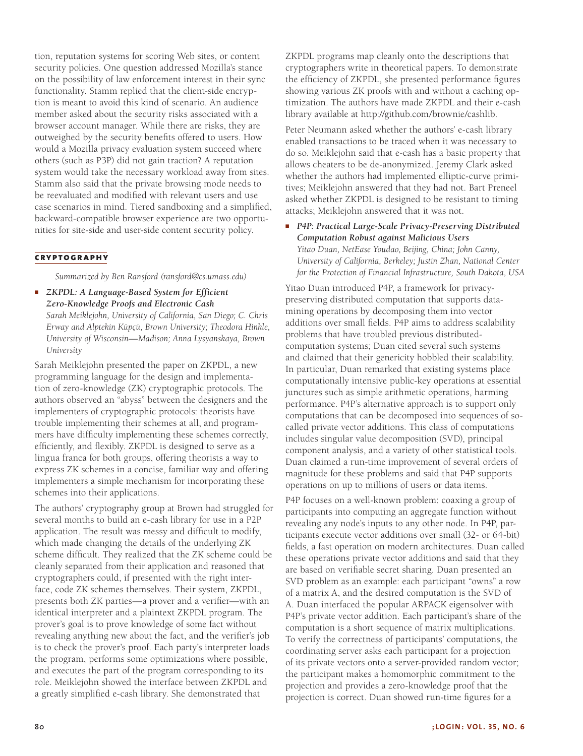tion, reputation systems for scoring Web sites, or content security policies. One question addressed Mozilla's stance on the possibility of law enforcement interest in their sync functionality. Stamm replied that the client-side encryption is meant to avoid this kind of scenario. An audience member asked about the security risks associated with a browser account manager. While there are risks, they are outweighed by the security benefits offered to users. How would a Mozilla privacy evaluation system succeed where others (such as P3P) did not gain traction? A reputation system would take the necessary workload away from sites. Stamm also said that the private browsing mode needs to be reevaluated and modified with relevant users and use case scenarios in mind. Tiered sandboxing and a simplified, backward-compatible browser experience are two opportunities for site-side and user-side content security policy.

#### **cryptography**

*Summarized by Ben Ransford (ransford@cs.umass.edu)*

■ *ZKPDL: A Language-Based System for Efficient Zero-Knowledge Proofs and Electronic Cash Sarah Meiklejohn, University of California, San Diego; C. Chris Erway and Alptekin Küpçü, Brown University; Theodora Hinkle, University of Wisconsin—Madison; Anna Lysyanskaya, Brown University*

Sarah Meiklejohn presented the paper on ZKPDL, a new programming language for the design and implementation of zero-knowledge (ZK) cryptographic protocols. The authors observed an "abyss" between the designers and the implementers of cryptographic protocols: theorists have trouble implementing their schemes at all, and programmers have difficulty implementing these schemes correctly, efficiently, and flexibly. ZKPDL is designed to serve as a lingua franca for both groups, offering theorists a way to express ZK schemes in a concise, familiar way and offering implementers a simple mechanism for incorporating these schemes into their applications.

The authors' cryptography group at Brown had struggled for several months to build an e-cash library for use in a P2P application. The result was messy and difficult to modify, which made changing the details of the underlying ZK scheme difficult. They realized that the ZK scheme could be cleanly separated from their application and reasoned that cryptographers could, if presented with the right interface, code ZK schemes themselves. Their system, ZKPDL, presents both ZK parties—a prover and a verifier—with an identical interpreter and a plaintext ZKPDL program. The prover's goal is to prove knowledge of some fact without revealing anything new about the fact, and the verifier's job is to check the prover's proof. Each party's interpreter loads the program, performs some optimizations where possible, and executes the part of the program corresponding to its role. Meiklejohn showed the interface between ZKPDL and a greatly simplified e-cash library. She demonstrated that

ZKPDL programs map cleanly onto the descriptions that cryptographers write in theoretical papers. To demonstrate the efficiency of ZKPDL, she presented performance figures showing various ZK proofs with and without a caching optimization. The authors have made ZKPDL and their e-cash library available at http://github.com/brownie/cashlib.

Peter Neumann asked whether the authors' e-cash library enabled transactions to be traced when it was necessary to do so. Meiklejohn said that e-cash has a basic property that allows cheaters to be de-anonymized. Jeremy Clark asked whether the authors had implemented elliptic-curve primitives; Meiklejohn answered that they had not. Bart Preneel asked whether ZKPDL is designed to be resistant to timing attacks; Meiklejohn answered that it was not.

■ *P4P: Practical Large-Scale Privacy-Preserving Distributed Computation Robust against Malicious Users Yitao Duan, NetEase Youdao, Beijing, China; John Canny, University of California, Berkeley; Justin Zhan, National Center for the Protection of Financial Infrastructure, South Dakota, USA*

Yitao Duan introduced P4P, a framework for privacypreserving distributed computation that supports datamining operations by decomposing them into vector additions over small fields. P4P aims to address scalability problems that have troubled previous distributedcomputation systems; Duan cited several such systems and claimed that their genericity hobbled their scalability. In particular, Duan remarked that existing systems place computationally intensive public-key operations at essential junctures such as simple arithmetic operations, harming performance. P4P's alternative approach is to support only computations that can be decomposed into sequences of socalled private vector additions. This class of computations includes singular value decomposition (SVD), principal component analysis, and a variety of other statistical tools. Duan claimed a run-time improvement of several orders of magnitude for these problems and said that P4P supports operations on up to millions of users or data items.

P4P focuses on a well-known problem: coaxing a group of participants into computing an aggregate function without revealing any node's inputs to any other node. In P4P, participants execute vector additions over small (32- or 64-bit) fields, a fast operation on modern architectures. Duan called these operations private vector additions and said that they are based on verifiable secret sharing. Duan presented an SVD problem as an example: each participant "owns" a row of a matrix A, and the desired computation is the SVD of A. Duan interfaced the popular ARPACK eigensolver with P4P's private vector addition. Each participant's share of the computation is a short sequence of matrix multiplications. To verify the correctness of participants' computations, the coordinating server asks each participant for a projection of its private vectors onto a server-provided random vector; the participant makes a homomorphic commitment to the projection and provides a zero-knowledge proof that the projection is correct. Duan showed run-time figures for a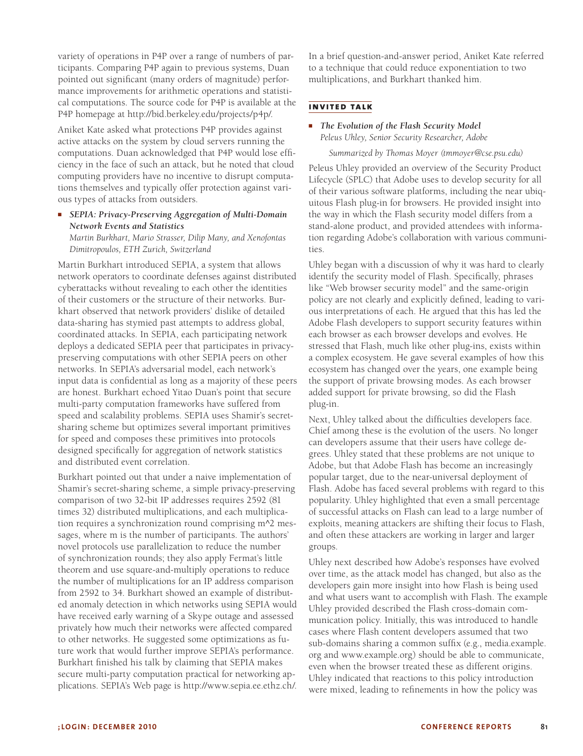variety of operations in P4P over a range of numbers of participants. Comparing P4P again to previous systems, Duan pointed out significant (many orders of magnitude) performance improvements for arithmetic operations and statistical computations. The source code for P4P is available at the P4P homepage at http://bid.berkeley.edu/projects/p4p/.

Aniket Kate asked what protections P4P provides against active attacks on the system by cloud servers running the computations. Duan acknowledged that P4P would lose efficiency in the face of such an attack, but he noted that cloud computing providers have no incentive to disrupt computations themselves and typically offer protection against various types of attacks from outsiders.

### ■ *SEPIA: Privacy-Preserving Aggregation of Multi-Domain Network Events and Statistics*

*Martin Burkhart, Mario Strasser, Dilip Many, and Xenofontas Dimitropoulos, ETH Zurich, Switzerland*

Martin Burkhart introduced SEPIA, a system that allows network operators to coordinate defenses against distributed cyberattacks without revealing to each other the identities of their customers or the structure of their networks. Burkhart observed that network providers' dislike of detailed data-sharing has stymied past attempts to address global, coordinated attacks. In SEPIA, each participating network deploys a dedicated SEPIA peer that participates in privacypreserving computations with other SEPIA peers on other networks. In SEPIA's adversarial model, each network's input data is confidential as long as a majority of these peers are honest. Burkhart echoed Yitao Duan's point that secure multi-party computation frameworks have suffered from speed and scalability problems. SEPIA uses Shamir's secretsharing scheme but optimizes several important primitives for speed and composes these primitives into protocols designed specifically for aggregation of network statistics and distributed event correlation.

Burkhart pointed out that under a naive implementation of Shamir's secret-sharing scheme, a simple privacy-preserving comparison of two 32-bit IP addresses requires 2592 (81 times 32) distributed multiplications, and each multiplication requires a synchronization round comprising m^2 messages, where m is the number of participants. The authors' novel protocols use parallelization to reduce the number of synchronization rounds; they also apply Fermat's little theorem and use square-and-multiply operations to reduce the number of multiplications for an IP address comparison from 2592 to 34. Burkhart showed an example of distributed anomaly detection in which networks using SEPIA would have received early warning of a Skype outage and assessed privately how much their networks were affected compared to other networks. He suggested some optimizations as future work that would further improve SEPIA's performance. Burkhart finished his talk by claiming that SEPIA makes secure multi-party computation practical for networking applications. SEPIA's Web page is http://www.sepia.ee.ethz.ch/.

In a brief question-and-answer period, Aniket Kate referred to a technique that could reduce exponentiation to two multiplications, and Burkhart thanked him.

#### **invited talk**

#### ■ *The Evolution of the Flash Security Model Peleus Uhley, Senior Security Researcher, Adobe*

*Summarized by Thomas Moyer (tmmoyer@cse.psu.edu)*

Peleus Uhley provided an overview of the Security Product Lifecycle (SPLC) that Adobe uses to develop security for all of their various software platforms, including the near ubiquitous Flash plug-in for browsers. He provided insight into the way in which the Flash security model differs from a stand-alone product, and provided attendees with information regarding Adobe's collaboration with various communities.

Uhley began with a discussion of why it was hard to clearly identify the security model of Flash. Specifically, phrases like "Web browser security model" and the same-origin policy are not clearly and explicitly defined, leading to various interpretations of each. He argued that this has led the Adobe Flash developers to support security features within each browser as each browser develops and evolves. He stressed that Flash, much like other plug-ins, exists within a complex ecosystem. He gave several examples of how this ecosystem has changed over the years, one example being the support of private browsing modes. As each browser added support for private browsing, so did the Flash plug-in.

Next, Uhley talked about the difficulties developers face. Chief among these is the evolution of the users. No longer can developers assume that their users have college degrees. Uhley stated that these problems are not unique to Adobe, but that Adobe Flash has become an increasingly popular target, due to the near-universal deployment of Flash. Adobe has faced several problems with regard to this popularity. Uhley highlighted that even a small percentage of successful attacks on Flash can lead to a large number of exploits, meaning attackers are shifting their focus to Flash, and often these attackers are working in larger and larger groups.

Uhley next described how Adobe's responses have evolved over time, as the attack model has changed, but also as the developers gain more insight into how Flash is being used and what users want to accomplish with Flash. The example Uhley provided described the Flash cross-domain communication policy. Initially, this was introduced to handle cases where Flash content developers assumed that two sub-domains sharing a common suffix (e.g., media.example. org and www.example.org) should be able to communicate, even when the browser treated these as different origins. Uhley indicated that reactions to this policy introduction were mixed, leading to refinements in how the policy was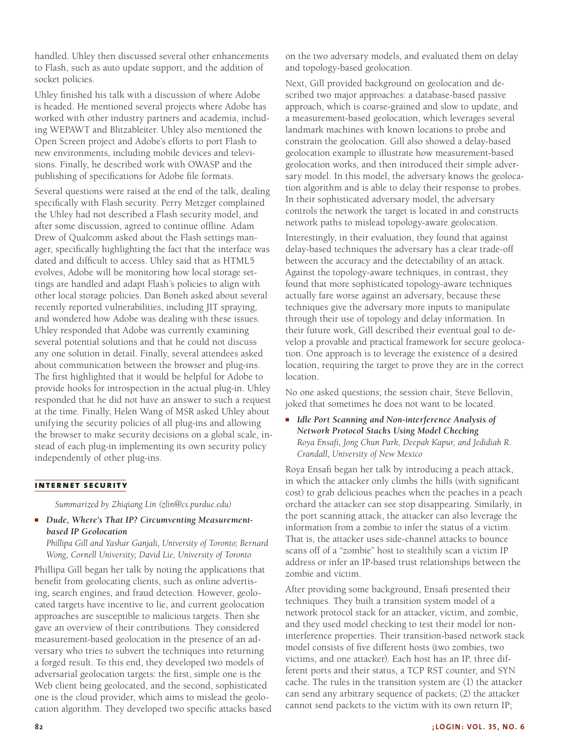handled. Uhley then discussed several other enhancements to Flash, such as auto update support, and the addition of socket policies.

Uhley finished his talk with a discussion of where Adobe is headed. He mentioned several projects where Adobe has worked with other industry partners and academia, including WEPAWT and Blitzableiter. Uhley also mentioned the Open Screen project and Adobe's efforts to port Flash to new environments, including mobile devices and televisions. Finally, he described work with OWASP and the publishing of specifications for Adobe file formats.

Several questions were raised at the end of the talk, dealing specifically with Flash security. Perry Metzger complained the Uhley had not described a Flash security model, and after some discussion, agreed to continue offline. Adam Drew of Qualcomm asked about the Flash settings manager, specifically highlighting the fact that the interface was dated and difficult to access. Uhley said that as HTML5 evolves, Adobe will be monitoring how local storage settings are handled and adapt Flash's policies to align with other local storage policies. Dan Boneh asked about several recently reported vulnerabilities, including JIT spraying, and wondered how Adobe was dealing with these issues. Uhley responded that Adobe was currently examining several potential solutions and that he could not discuss any one solution in detail. Finally, several attendees asked about communication between the browser and plug-ins. The first highlighted that it would be helpful for Adobe to provide hooks for introspection in the actual plug-in. Uhley responded that he did not have an answer to such a request at the time. Finally, Helen Wang of MSR asked Uhley about unifying the security policies of all plug-ins and allowing the browser to make security decisions on a global scale, instead of each plug-in implementing its own security policy independently of other plug-ins.

#### **internet security**

*Summarized by Zhiqiang Lin (zlin@cs.purdue.edu)*

■ *Dude, Where's That IP? Circumventing Measurementbased IP Geolocation*

*Phillipa Gill and Yashar Ganjali, University of Toronto; Bernard Wong, Cornell University; David Lie, University of Toronto*

Phillipa Gill began her talk by noting the applications that benefit from geolocating clients, such as online advertising, search engines, and fraud detection. However, geolocated targets have incentive to lie, and current geolocation approaches are susceptible to malicious targets. Then she gave an overview of their contributions. They considered measurement-based geolocation in the presence of an adversary who tries to subvert the techniques into returning a forged result. To this end, they developed two models of adversarial geolocation targets: the first, simple one is the Web client being geolocated, and the second, sophisticated one is the cloud provider, which aims to mislead the geolocation algorithm. They developed two specific attacks based on the two adversary models, and evaluated them on delay and topology-based geolocation.

Next, Gill provided background on geolocation and described two major approaches: a database-based passive approach, which is coarse-grained and slow to update, and a measurement-based geolocation, which leverages several landmark machines with known locations to probe and constrain the geolocation. Gill also showed a delay-based geolocation example to illustrate how measurement-based geolocation works, and then introduced their simple adversary model. In this model, the adversary knows the geolocation algorithm and is able to delay their response to probes. In their sophisticated adversary model, the adversary controls the network the target is located in and constructs network paths to mislead topology-aware geolocation.

Interestingly, in their evaluation, they found that against delay-based techniques the adversary has a clear trade-off between the accuracy and the detectability of an attack. Against the topology-aware techniques, in contrast, they found that more sophisticated topology-aware techniques actually fare worse against an adversary, because these techniques give the adversary more inputs to manipulate through their use of topology and delay information. In their future work, Gill described their eventual goal to develop a provable and practical framework for secure geolocation. One approach is to leverage the existence of a desired location, requiring the target to prove they are in the correct location.

No one asked questions; the session chair, Steve Bellovin, joked that sometimes he does not want to be located.

■ *Idle Port Scanning and Non-interference Analysis of Network Protocol Stacks Using Model Checking Roya Ensafi, Jong Chun Park, Deepak Kapur, and Jedidiah R. Crandall, University of New Mexico*

Roya Ensafi began her talk by introducing a peach attack, in which the attacker only climbs the hills (with significant cost) to grab delicious peaches when the peaches in a peach orchard the attacker can see stop disappearing. Similarly, in the port scanning attack, the attacker can also leverage the information from a zombie to infer the status of a victim. That is, the attacker uses side-channel attacks to bounce scans off of a "zombie" host to stealthily scan a victim IP address or infer an IP-based trust relationships between the zombie and victim.

After providing some background, Ensafi presented their techniques. They built a transition system model of a network protocol stack for an attacker, victim, and zombie, and they used model checking to test their model for noninterference properties. Their transition-based network stack model consists of five different hosts (two zombies, two victims, and one attacker). Each host has an IP, three different ports and their status, a TCP RST counter, and SYN cache. The rules in the transition system are (1) the attacker can send any arbitrary sequence of packets; (2) the attacker cannot send packets to the victim with its own return IP;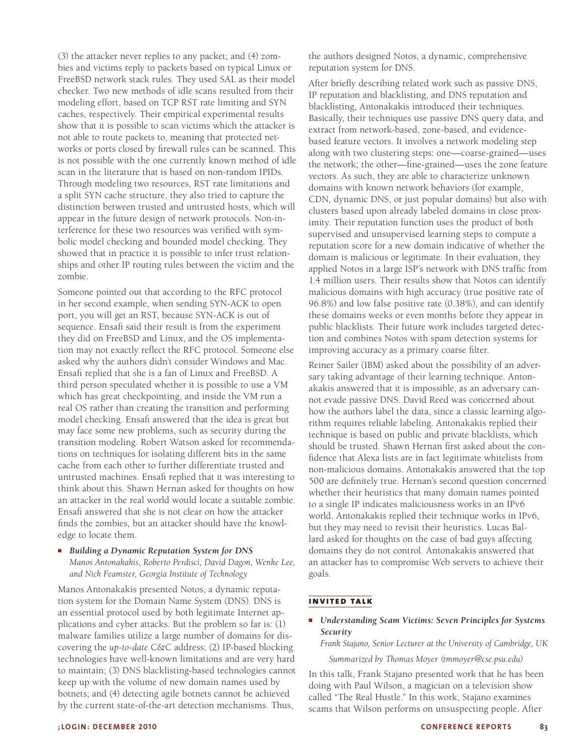(3) the attacker never replies to any packet; and (4) zombies and victims reply to packets based on typical Linux or FreeBSD network stack rules. They used SAL as their model checker. Two new methods of idle scans resulted from their modeling effort, based on TCP RST rate limiting and SYN caches, respectively. Their empirical experimental results show that it is possible to scan victims which the attacker is not able to route packets to, meaning that protected networks or ports closed by firewall rules can be scanned. This is not possible with the one currently known method of idle scan in the literature that is based on non-random IPIDs. Through modeling two resources, RST rate limitations and a split SYN cache structure, they also tried to capture the distinction between trusted and untrusted hosts, which will appear in the future design of network protocols. Non-interference for these two resources was verified with symbolic model checking and bounded model checking. They showed that in practice it is possible to infer trust relationships and other IP routing rules between the victim and the zombie.

Someone pointed out that according to the RFC protocol in her second example, when sending SYN-ACK to open port, you will get an RST, because SYN-ACK is out of sequence. Ensafi said their result is from the experiment they did on FreeBSD and Linux, and the OS implementation may not exactly reflect the RFC protocol. Someone else asked why the authors didn't consider Windows and Mac. Ensafi replied that she is a fan of Linux and FreeBSD. A third person speculated whether it is possible to use a VM which has great checkpointing, and inside the VM run a real OS rather than creating the transition and performing model checking. Ensafi answered that the idea is great but may face some new problems, such as security during the transition modeling. Robert Watson asked for recommendations on techniques for isolating different bits in the same cache from each other to further differentiate trusted and untrusted machines. Ensafi replied that it was interesting to think about this. Shawn Hernan asked for thoughts on how an attacker in the real world would locate a suitable zombie. Ensafi answered that she is not clear on how the attacker finds the zombies, but an attacker should have the knowledge to locate them.

#### ■ *Building a Dynamic Reputation System for DNS Manos Antonakakis, Roberto Perdisci, David Dagon, Wenke Lee, and Nick Feamster, Georgia Institute of Technology*

Manos Antonakakis presented Notos, a dynamic reputation system for the Domain Name System (DNS). DNS is an essential protocol used by both legitimate Internet applications and cyber attacks. But the problem so far is: (1) malware families utilize a large number of domains for discovering the *up-to-date* C&C address; (2) IP-based blocking technologies have well-known limitations and are very hard to maintain; (3) DNS blacklisting-based technologies cannot keep up with the volume of new domain names used by botnets; and (4) detecting agile botnets cannot be achieved by the current state-of-the-art detection mechanisms. Thus,

the authors designed Notos, a dynamic, comprehensive reputation system for DNS.

After briefly describing related work such as passive DNS, IP reputation and blacklisting, and DNS reputation and blacklisting, Antonakakis introduced their techniques. Basically, their techniques use passive DNS query data, and extract from network-based, zone-based, and evidencebased feature vectors. It involves a network modeling step along with two clustering steps: one—coarse-grained—uses the network; the other—fine-grained—uses the zone feature vectors. As such, they are able to characterize unknown domains with known network behaviors (for example, CDN, dynamic DNS, or just popular domains) but also with clusters based upon already labeled domains in close proximity. Their reputation function uses the product of both supervised and unsupervised learning steps to compute a reputation score for a new domain indicative of whether the domain is malicious or legitimate. In their evaluation, they applied Notos in a large ISP's network with DNS traffic from 1.4 million users. Their results show that Notos can identify malicious domains with high accuracy (true positive rate of 96.8%) and low false positive rate (0.38%), and can identify these domains weeks or even months before they appear in public blacklists. Their future work includes targeted detection and combines Notos with spam detection systems for improving accuracy as a primary coarse filter.

Reiner Sailer (IBM) asked about the possibility of an adversary taking advantage of their learning technique. Antonakakis answered that it is impossible, as an adversary cannot evade passive DNS. David Reed was concerned about how the authors label the data, since a classic learning algorithm requires reliable labeling. Antonakakis replied their technique is based on public and private blacklists, which should be trusted. Shawn Hernan first asked about the confidence that Alexa lists are in fact legitimate whitelists from non-malicious domains. Antonakakis answered that the top 500 are definitely true. Hernan's second question concerned whether their heuristics that many domain names pointed to a single IP indicates maliciousness works in an IPv6 world. Antonakakis replied their technique works in IPv6, but they may need to revisit their heuristics. Lucas Ballard asked for thoughts on the case of bad guys affecting domains they do not control. Antonakakis answered that an attacker has to compromise Web servers to achieve their goals.

# **invited talk**

*Understanding Scam Victims: Seven Principles for Systems Security*

*Frank Stajano, Senior Lecturer at the University of Cambridge, UK*

*Summarized by Thomas Moyer (tmmoyer@cse.psu.edu)*

In this talk, Frank Stajano presented work that he has been doing with Paul Wilson, a magician on a television show called "The Real Hustle." In this work, Stajano examines scams that Wilson performs on unsuspecting people. After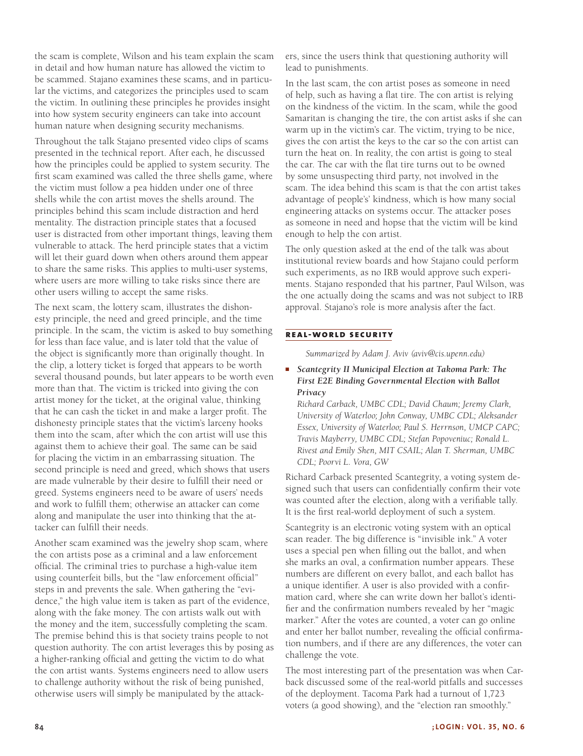the scam is complete, Wilson and his team explain the scam in detail and how human nature has allowed the victim to be scammed. Stajano examines these scams, and in particular the victims, and categorizes the principles used to scam the victim. In outlining these principles he provides insight into how system security engineers can take into account human nature when designing security mechanisms.

Throughout the talk Stajano presented video clips of scams presented in the technical report. After each, he discussed how the principles could be applied to system security. The first scam examined was called the three shells game, where the victim must follow a pea hidden under one of three shells while the con artist moves the shells around. The principles behind this scam include distraction and herd mentality. The distraction principle states that a focused user is distracted from other important things, leaving them vulnerable to attack. The herd principle states that a victim will let their guard down when others around them appear to share the same risks. This applies to multi-user systems, where users are more willing to take risks since there are other users willing to accept the same risks.

The next scam, the lottery scam, illustrates the dishonesty principle, the need and greed principle, and the time principle. In the scam, the victim is asked to buy something for less than face value, and is later told that the value of the object is significantly more than originally thought. In the clip, a lottery ticket is forged that appears to be worth several thousand pounds, but later appears to be worth even more than that. The victim is tricked into giving the con artist money for the ticket, at the original value, thinking that he can cash the ticket in and make a larger profit. The dishonesty principle states that the victim's larceny hooks them into the scam, after which the con artist will use this against them to achieve their goal. The same can be said for placing the victim in an embarrassing situation. The second principle is need and greed, which shows that users are made vulnerable by their desire to fulfill their need or greed. Systems engineers need to be aware of users' needs and work to fulfill them; otherwise an attacker can come along and manipulate the user into thinking that the attacker can fulfill their needs.

Another scam examined was the jewelry shop scam, where the con artists pose as a criminal and a law enforcement official. The criminal tries to purchase a high-value item using counterfeit bills, but the "law enforcement official" steps in and prevents the sale. When gathering the "evidence," the high value item is taken as part of the evidence, along with the fake money. The con artists walk out with the money and the item, successfully completing the scam. The premise behind this is that society trains people to not question authority. The con artist leverages this by posing as a higher-ranking official and getting the victim to do what the con artist wants. Systems engineers need to allow users to challenge authority without the risk of being punished, otherwise users will simply be manipulated by the attackers, since the users think that questioning authority will lead to punishments.

In the last scam, the con artist poses as someone in need of help, such as having a flat tire. The con artist is relying on the kindness of the victim. In the scam, while the good Samaritan is changing the tire, the con artist asks if she can warm up in the victim's car. The victim, trying to be nice, gives the con artist the keys to the car so the con artist can turn the heat on. In reality, the con artist is going to steal the car. The car with the flat tire turns out to be owned by some unsuspecting third party, not involved in the scam. The idea behind this scam is that the con artist takes advantage of people's' kindness, which is how many social engineering attacks on systems occur. The attacker poses as someone in need and hopse that the victim will be kind enough to help the con artist.

The only question asked at the end of the talk was about institutional review boards and how Stajano could perform such experiments, as no IRB would approve such experiments. Stajano responded that his partner, Paul Wilson, was the one actually doing the scams and was not subject to IRB approval. Stajano's role is more analysis after the fact.

# **real-world security**

*Summarized by Adam J. Aviv (aviv@cis.upenn.edu)*

■ *Scantegrity II Municipal Election at Takoma Park: The First E2E Binding Governmental Election with Ballot Privacy*

*Richard Carback, UMBC CDL; David Chaum; Jeremy Clark, University of Waterloo; John Conway, UMBC CDL; Aleksander Essex, University of Waterloo; Paul S. Herrnson, UMCP CAPC; Travis Mayberry, UMBC CDL; Stefan Popoveniuc; Ronald L. Rivest and Emily Shen, MIT CSAIL; Alan T. Sherman, UMBC CDL; Poorvi L. Vora, GW*

Richard Carback presented Scantegrity, a voting system designed such that users can confidentially confirm their vote was counted after the election, along with a verifiable tally. It is the first real-world deployment of such a system.

Scantegrity is an electronic voting system with an optical scan reader. The big difference is "invisible ink." A voter uses a special pen when filling out the ballot, and when she marks an oval, a confirmation number appears. These numbers are different on every ballot, and each ballot has a unique identifier. A user is also provided with a confirmation card, where she can write down her ballot's identifier and the confirmation numbers revealed by her "magic marker." After the votes are counted, a voter can go online and enter her ballot number, revealing the official confirmation numbers, and if there are any differences, the voter can challenge the vote.

The most interesting part of the presentation was when Carback discussed some of the real-world pitfalls and successes of the deployment. Tacoma Park had a turnout of 1,723 voters (a good showing), and the "election ran smoothly."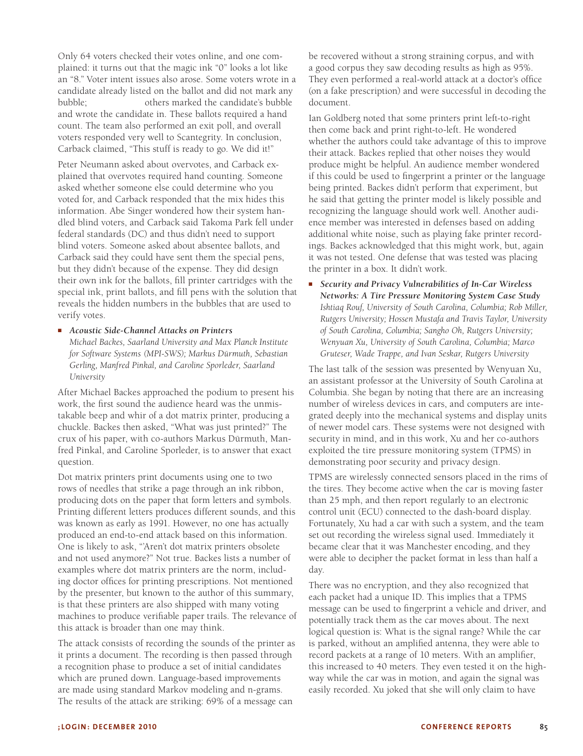Only 64 voters checked their votes online, and one complained: it turns out that the magic ink "0" looks a lot like an "8." Voter intent issues also arose. Some voters wrote in a candidate already listed on the ballot and did not mark any bubble; others marked the candidate's bubble and wrote the candidate in. These ballots required a hand count. The team also performed an exit poll, and overall voters responded very well to Scantegrity. In conclusion, Carback claimed, "This stuff is ready to go. We did it!"

Peter Neumann asked about overvotes, and Carback explained that overvotes required hand counting. Someone asked whether someone else could determine who you voted for, and Carback responded that the mix hides this information. Abe Singer wondered how their system handled blind voters, and Carback said Takoma Park fell under federal standards (DC) and thus didn't need to support blind voters. Someone asked about absentee ballots, and Carback said they could have sent them the special pens, but they didn't because of the expense. They did design their own ink for the ballots, fill printer cartridges with the special ink, print ballots, and fill pens with the solution that reveals the hidden numbers in the bubbles that are used to verify votes.

#### ■ *Acoustic Side-Channel Attacks on Printers*

*Michael Backes, Saarland University and Max Planck Institute for Software Systems (MPI-SWS); Markus Dürmuth, Sebastian Gerling, Manfred Pinkal, and Caroline Sporleder, Saarland University*

After Michael Backes approached the podium to present his work, the first sound the audience heard was the unmistakable beep and whir of a dot matrix printer, producing a chuckle. Backes then asked, "What was just printed?" The crux of his paper, with co-authors Markus Dürmuth, Manfred Pinkal, and Caroline Sporleder, is to answer that exact question.

Dot matrix printers print documents using one to two rows of needles that strike a page through an ink ribbon, producing dots on the paper that form letters and symbols. Printing different letters produces different sounds, and this was known as early as 1991. However, no one has actually produced an end-to-end attack based on this information. One is likely to ask, "'Aren't dot matrix printers obsolete and not used anymore?" Not true. Backes lists a number of examples where dot matrix printers are the norm, including doctor offices for printing prescriptions. Not mentioned by the presenter, but known to the author of this summary, is that these printers are also shipped with many voting machines to produce verifiable paper trails. The relevance of this attack is broader than one may think.

The attack consists of recording the sounds of the printer as it prints a document. The recording is then passed through a recognition phase to produce a set of initial candidates which are pruned down. Language-based improvements are made using standard Markov modeling and n-grams. The results of the attack are striking: 69% of a message can

be recovered without a strong straining corpus, and with a good corpus they saw decoding results as high as 95%. They even performed a real-world attack at a doctor's office (on a fake prescription) and were successful in decoding the document.

Ian Goldberg noted that some printers print left-to-right then come back and print right-to-left. He wondered whether the authors could take advantage of this to improve their attack. Backes replied that other noises they would produce might be helpful. An audience member wondered if this could be used to fingerprint a printer or the language being printed. Backes didn't perform that experiment, but he said that getting the printer model is likely possible and recognizing the language should work well. Another audience member was interested in defenses based on adding additional white noise, such as playing fake printer recordings. Backes acknowledged that this might work, but, again it was not tested. One defense that was tested was placing the printer in a box. It didn't work.

*Security and Privacy Vulnerabilities of In-Car Wireless Networks: A Tire Pressure Monitoring System Case Study Ishtiaq Rouf, University of South Carolina, Columbia; Rob Miller, Rutgers University; Hossen Mustafa and Travis Taylor, University of South Carolina, Columbia; Sangho Oh, Rutgers University; Wenyuan Xu, University of South Carolina, Columbia; Marco Gruteser, Wade Trappe, and Ivan Seskar, Rutgers University*

The last talk of the session was presented by Wenyuan Xu, an assistant professor at the University of South Carolina at Columbia. She began by noting that there are an increasing number of wireless devices in cars, and computers are integrated deeply into the mechanical systems and display units of newer model cars. These systems were not designed with security in mind, and in this work, Xu and her co-authors exploited the tire pressure monitoring system (TPMS) in demonstrating poor security and privacy design.

TPMS are wirelessly connected sensors placed in the rims of the tires. They become active when the car is moving faster than 25 mph, and then report regularly to an electronic control unit (ECU) connected to the dash-board display. Fortunately, Xu had a car with such a system, and the team set out recording the wireless signal used. Immediately it became clear that it was Manchester encoding, and they were able to decipher the packet format in less than half a day.

There was no encryption, and they also recognized that each packet had a unique ID. This implies that a TPMS message can be used to fingerprint a vehicle and driver, and potentially track them as the car moves about. The next logical question is: What is the signal range? While the car is parked, without an amplified antenna, they were able to record packets at a range of 10 meters. With an amplifier, this increased to 40 meters. They even tested it on the highway while the car was in motion, and again the signal was easily recorded. Xu joked that she will only claim to have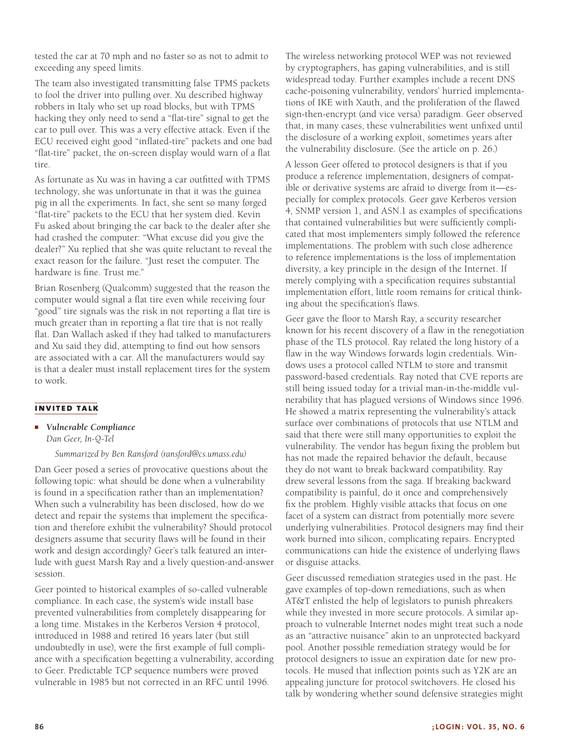tested the car at 70 mph and no faster so as not to admit to exceeding any speed limits.

The team also investigated transmitting false TPMS packets to fool the driver into pulling over. Xu described highway robbers in Italy who set up road blocks, but with TPMS hacking they only need to send a "flat-tire" signal to get the car to pull over. This was a very effective attack. Even if the ECU received eight good "inflated-tire" packets and one bad "flat-tire" packet, the on-screen display would warn of a flat tire.

As fortunate as Xu was in having a car outfitted with TPMS technology, she was unfortunate in that it was the guinea pig in all the experiments. In fact, she sent so many forged "flat-tire" packets to the ECU that her system died. Kevin Fu asked about bringing the car back to the dealer after she had crashed the computer: "What excuse did you give the dealer?" Xu replied that she was quite reluctant to reveal the exact reason for the failure. "Just reset the computer. The hardware is fine. Trust me."

Brian Rosenberg (Qualcomm) suggested that the reason the computer would signal a flat tire even while receiving four "good" tire signals was the risk in not reporting a flat tire is much greater than in reporting a flat tire that is not really flat. Dan Wallach asked if they had talked to manufacturers and Xu said they did, attempting to find out how sensors are associated with a car. All the manufacturers would say is that a dealer must install replacement tires for the system to work.

#### **invited talk**

■ *Vulnerable Compliance*

*Dan Geer, In-Q-Tel*

*Summarized by Ben Ransford (ransford@cs.umass.edu)*

Dan Geer posed a series of provocative questions about the following topic: what should be done when a vulnerability is found in a specification rather than an implementation? When such a vulnerability has been disclosed, how do we detect and repair the systems that implement the specification and therefore exhibit the vulnerability? Should protocol designers assume that security flaws will be found in their work and design accordingly? Geer's talk featured an interlude with guest Marsh Ray and a lively question-and-answer session.

Geer pointed to historical examples of so-called vulnerable compliance. In each case, the system's wide install base prevented vulnerabilities from completely disappearing for a long time. Mistakes in the Kerberos Version 4 protocol, introduced in 1988 and retired 16 years later (but still undoubtedly in use), were the first example of full compliance with a specification begetting a vulnerability, according to Geer. Predictable TCP sequence numbers were proved vulnerable in 1985 but not corrected in an RFC until 1996.

The wireless networking protocol WEP was not reviewed by cryptographers, has gaping vulnerabilities, and is still widespread today. Further examples include a recent DNS cache-poisoning vulnerability, vendors' hurried implementations of IKE with Xauth, and the proliferation of the flawed sign-then-encrypt (and vice versa) paradigm. Geer observed that, in many cases, these vulnerabilities went unfixed until the disclosure of a working exploit, sometimes years after the vulnerability disclosure. (See the article on p. 26.)

A lesson Geer offered to protocol designers is that if you produce a reference implementation, designers of compatible or derivative systems are afraid to diverge from it—especially for complex protocols. Geer gave Kerberos version 4, SNMP version 1, and ASN.1 as examples of specifications that contained vulnerabilities but were sufficiently complicated that most implementers simply followed the reference implementations. The problem with such close adherence to reference implementations is the loss of implementation diversity, a key principle in the design of the Internet. If merely complying with a specification requires substantial implementation effort, little room remains for critical thinking about the specification's flaws.

Geer gave the floor to Marsh Ray, a security researcher known for his recent discovery of a flaw in the renegotiation phase of the TLS protocol. Ray related the long history of a flaw in the way Windows forwards login credentials. Windows uses a protocol called NTLM to store and transmit password-based credentials. Ray noted that CVE reports are still being issued today for a trivial man-in-the-middle vulnerability that has plagued versions of Windows since 1996. He showed a matrix representing the vulnerability's attack surface over combinations of protocols that use NTLM and said that there were still many opportunities to exploit the vulnerability. The vendor has begun fixing the problem but has not made the repaired behavior the default, because they do not want to break backward compatibility. Ray drew several lessons from the saga. If breaking backward compatibility is painful, do it once and comprehensively fix the problem. Highly visible attacks that focus on one facet of a system can distract from potentially more severe underlying vulnerabilities. Protocol designers may find their work burned into silicon, complicating repairs. Encrypted communications can hide the existence of underlying flaws or disguise attacks.

Geer discussed remediation strategies used in the past. He gave examples of top-down remediations, such as when AT&T enlisted the help of legislators to punish phreakers while they invested in more secure protocols. A similar approach to vulnerable Internet nodes might treat such a node as an "attractive nuisance" akin to an unprotected backyard pool. Another possible remediation strategy would be for protocol designers to issue an expiration date for new protocols. He mused that inflection points such as Y2K are an appealing juncture for protocol switchovers. He closed his talk by wondering whether sound defensive strategies might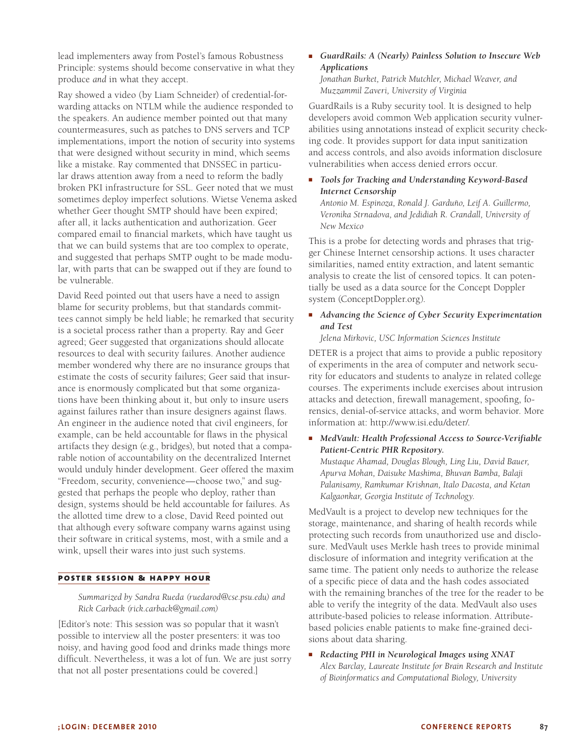lead implementers away from Postel's famous Robustness Principle: systems should become conservative in what they produce *and* in what they accept.

Ray showed a video (by Liam Schneider) of credential-forwarding attacks on NTLM while the audience responded to the speakers. An audience member pointed out that many countermeasures, such as patches to DNS servers and TCP implementations, import the notion of security into systems that were designed without security in mind, which seems like a mistake. Ray commented that DNSSEC in particular draws attention away from a need to reform the badly broken PKI infrastructure for SSL. Geer noted that we must sometimes deploy imperfect solutions. Wietse Venema asked whether Geer thought SMTP should have been expired; after all, it lacks authentication and authorization. Geer compared email to financial markets, which have taught us that we can build systems that are too complex to operate, and suggested that perhaps SMTP ought to be made modular, with parts that can be swapped out if they are found to be vulnerable.

David Reed pointed out that users have a need to assign blame for security problems, but that standards committees cannot simply be held liable; he remarked that security is a societal process rather than a property. Ray and Geer agreed; Geer suggested that organizations should allocate resources to deal with security failures. Another audience member wondered why there are no insurance groups that estimate the costs of security failures; Geer said that insurance is enormously complicated but that some organizations have been thinking about it, but only to insure users against failures rather than insure designers against flaws. An engineer in the audience noted that civil engineers, for example, can be held accountable for flaws in the physical artifacts they design (e.g., bridges), but noted that a comparable notion of accountability on the decentralized Internet would unduly hinder development. Geer offered the maxim "Freedom, security, convenience—choose two," and suggested that perhaps the people who deploy, rather than design, systems should be held accountable for failures. As the allotted time drew to a close, David Reed pointed out that although every software company warns against using their software in critical systems, most, with a smile and a wink, upsell their wares into just such systems.

#### **poster session & happy hour**

*Summarized by Sandra Rueda (ruedarod@cse.psu.edu) and Rick Carback (rick.carback@gmail.com)*

[Editor's note: This session was so popular that it wasn't possible to interview all the poster presenters: it was too noisy, and having good food and drinks made things more difficult. Nevertheless, it was a lot of fun. We are just sorry that not all poster presentations could be covered.]

■ *GuardRails: A (Nearly) Painless Solution to Insecure Web Applications Jonathan Burket, Patrick Mutchler, Michael Weaver, and Muzzammil Zaveri, University of Virginia*

GuardRails is a Ruby security tool. It is designed to help developers avoid common Web application security vulnerabilities using annotations instead of explicit security checking code. It provides support for data input sanitization and access controls, and also avoids information disclosure vulnerabilities when access denied errors occur.

Tools for Tracking and Understanding Keyword-Based *Internet Censorship*

*Antonio M. Espinoza, Ronald J. Garduño, Leif A. Guillermo, Veronika Strnadova, and Jedidiah R. Crandall, University of New Mexico*

This is a probe for detecting words and phrases that trigger Chinese Internet censorship actions. It uses character similarities, named entity extraction, and latent semantic analysis to create the list of censored topics. It can potentially be used as a data source for the Concept Doppler system (ConceptDoppler.org).

# ■ *Advancing the Science of Cyber Security Experimentation and Test*

*Jelena Mirkovic, USC Information Sciences Institute*

DETER is a project that aims to provide a public repository of experiments in the area of computer and network security for educators and students to analyze in related college courses. The experiments include exercises about intrusion attacks and detection, firewall management, spoofing, forensics, denial-of-service attacks, and worm behavior. More information at: http://www.isi.edu/deter/.

■ *MedVault: Health Professional Access to Source-Verifiable Patient-Centric PHR Repository. Mustaque Ahamad, Douglas Blough, Ling Liu, David Bauer, Apurva Mohan, Daisuke Mashima, Bhuvan Bamba, Balaji Palanisamy, Ramkumar Krishnan, Italo Dacosta, and Ketan Kalgaonkar, Georgia Institute of Technology.*

MedVault is a project to develop new techniques for the storage, maintenance, and sharing of health records while protecting such records from unauthorized use and disclosure. MedVault uses Merkle hash trees to provide minimal disclosure of information and integrity verification at the same time. The patient only needs to authorize the release of a specific piece of data and the hash codes associated with the remaining branches of the tree for the reader to be able to verify the integrity of the data. MedVault also uses attribute-based policies to release information. Attributebased policies enable patients to make fine-grained decisions about data sharing.

■ *Redacting PHI in Neurological Images using XNAT Alex Barclay, Laureate Institute for Brain Research and Institute of Bioinformatics and Computational Biology, University*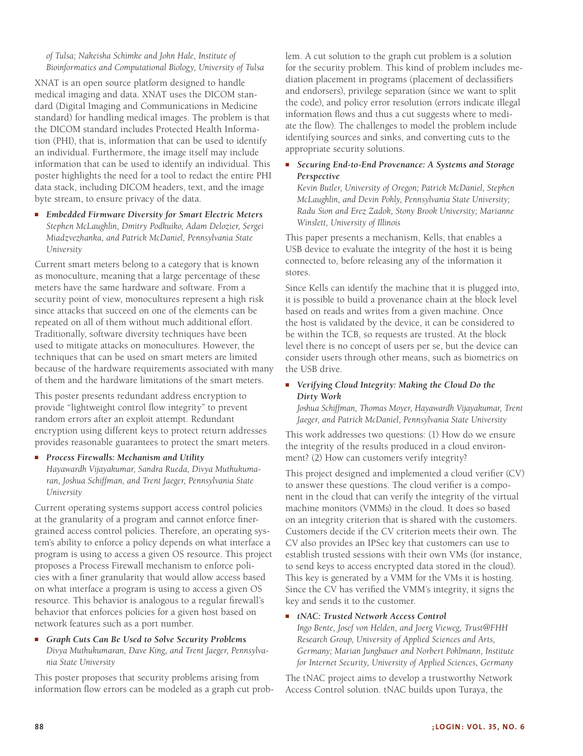#### *of Tulsa; Nakeisha Schimke and John Hale, Institute of Bioinformatics and Computational Biology, University of Tulsa*

XNAT is an open source platform designed to handle medical imaging and data. XNAT uses the DICOM standard (Digital Imaging and Communications in Medicine standard) for handling medical images. The problem is that the DICOM standard includes Protected Health Information (PHI), that is, information that can be used to identify an individual. Furthermore, the image itself may include information that can be used to identify an individual. This poster highlights the need for a tool to redact the entire PHI data stack, including DICOM headers, text, and the image byte stream, to ensure privacy of the data.

■ *Embedded Firmware Diversity for Smart Electric Meters Stephen McLaughlin, Dmitry Podkuiko, Adam Delozier, Sergei Miadzvezhanka, and Patrick McDaniel, Pennsylvania State University*

Current smart meters belong to a category that is known as monoculture, meaning that a large percentage of these meters have the same hardware and software. From a security point of view, monocultures represent a high risk since attacks that succeed on one of the elements can be repeated on all of them without much additional effort. Traditionally, software diversity techniques have been used to mitigate attacks on monocultures. However, the techniques that can be used on smart meters are limited because of the hardware requirements associated with many of them and the hardware limitations of the smart meters.

This poster presents redundant address encryption to provide "lightweight control flow integrity" to prevent random errors after an exploit attempt. Redundant encryption using different keys to protect return addresses provides reasonable guarantees to protect the smart meters.

■ *Process Firewalls: Mechanism and Utility*

*Hayawardh Vijayakumar, Sandra Rueda, Divya Muthukumaran, Joshua Schiffman, and Trent Jaeger, Pennsylvania State University*

Current operating systems support access control policies at the granularity of a program and cannot enforce finergrained access control policies. Therefore, an operating system's ability to enforce a policy depends on what interface a program is using to access a given OS resource. This project proposes a Process Firewall mechanism to enforce policies with a finer granularity that would allow access based on what interface a program is using to access a given OS resource. This behavior is analogous to a regular firewall's behavior that enforces policies for a given host based on network features such as a port number.

#### ■ *Graph Cuts Can Be Used to Solve Security Problems Divya Muthukumaran, Dave King, and Trent Jaeger, Pennsylvania State University*

This poster proposes that security problems arising from information flow errors can be modeled as a graph cut problem. A cut solution to the graph cut problem is a solution for the security problem. This kind of problem includes mediation placement in programs (placement of declassifiers and endorsers), privilege separation (since we want to split the code), and policy error resolution (errors indicate illegal information flows and thus a cut suggests where to mediate the flow). The challenges to model the problem include identifying sources and sinks, and converting cuts to the appropriate security solutions.

# ■ *Securing End-to-End Provenance: A Systems and Storage Perspective*

*Kevin Butler, University of Oregon; Patrick McDaniel, Stephen McLaughlin, and Devin Pohly, Pennsylvania State University; Radu Sion and Erez Zadok, Stony Brook University; Marianne Winslett, University of Illinois*

This paper presents a mechanism, Kells, that enables a USB device to evaluate the integrity of the host it is being connected to, before releasing any of the information it stores.

Since Kells can identify the machine that it is plugged into, it is possible to build a provenance chain at the block level based on reads and writes from a given machine. Once the host is validated by the device, it can be considered to be within the TCB, so requests are trusted. At the block level there is no concept of users per se, but the device can consider users through other means, such as biometrics on the USB drive.

# ■ *Verifying Cloud Integrity: Making the Cloud Do the Dirty Work*

*Joshua Schiffman, Thomas Moyer, Hayawardh Vijayakumar, Trent Jaeger, and Patrick McDaniel, Pennsylvania State University*

This work addresses two questions: (1) How do we ensure the integrity of the results produced in a cloud environment? (2) How can customers verify integrity?

This project designed and implemented a cloud verifier (CV) to answer these questions. The cloud verifier is a component in the cloud that can verify the integrity of the virtual machine monitors (VMMs) in the cloud. It does so based on an integrity criterion that is shared with the customers. Customers decide if the CV criterion meets their own. The CV also provides an IPSec key that customers can use to establish trusted sessions with their own VMs (for instance, to send keys to access encrypted data stored in the cloud). This key is generated by a VMM for the VMs it is hosting. Since the CV has verified the VMM's integrity, it signs the key and sends it to the customer.

#### ■ *tNAC: Trusted Network Access Control*

*Ingo Bente, Josef von Helden, and Joerg Vieweg, Trust@FHH Research Group, University of Applied Sciences and Arts, Germany; Marian Jungbauer and Norbert Pohlmann, Institute for Internet Security, University of Applied Sciences, Germany*

The tNAC project aims to develop a trustworthy Network Access Control solution. tNAC builds upon Turaya, the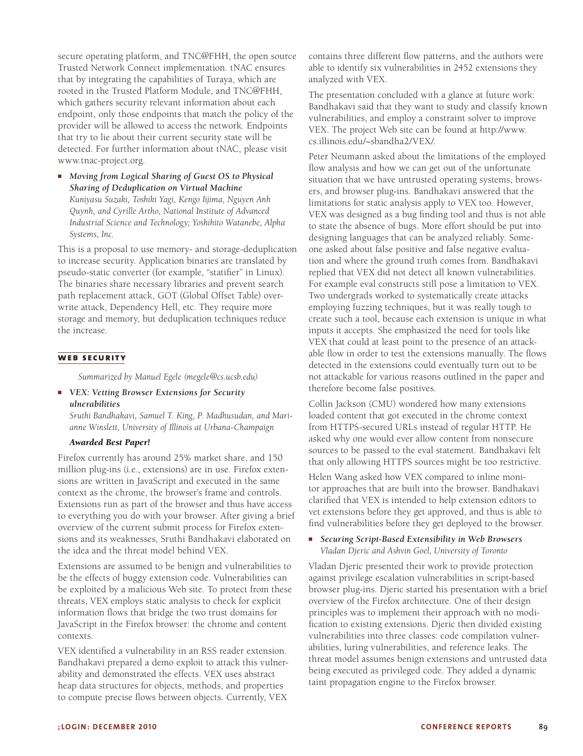secure operating platform, and TNC@FHH, the open source Trusted Network Connect implementation. tNAC ensures that by integrating the capabilities of Turaya, which are rooted in the Trusted Platform Module, and TNC@FHH, which gathers security relevant information about each endpoint, only those endpoints that match the policy of the provider will be allowed to access the network. Endpoints that try to lie about their current security state will be detected. For further information about tNAC, please visit www.tnac-project.org.

■ *Moving from Logical Sharing of Guest OS to Physical Sharing of Deduplication on Virtual Machine Kuniyasu Suzaki, Toshiki Yagi, Kengo Iijima, Nguyen Anh Quynh, and Cyrille Artho, National Institute of Advanced Industrial Science and Technology; Yoshihito Watanebe, Alpha Systems, Inc.*

This is a proposal to use memory- and storage-deduplication to increase security. Application binaries are translated by pseudo-static converter (for example, "statifier" in Linux). The binaries share necessary libraries and prevent search path replacement attack, GOT (Global Offset Table) overwrite attack, Dependency Hell, etc. They require more storage and memory, but deduplication techniques reduce the increase.

#### **web security**

*Summarized by Manuel Egele (megele@cs.ucsb.edu)*

■ *VEX: Vetting Browser Extensions for Security ulnerabilities*

*Sruthi Bandhakavi, Samuel T. King, P. Madhusudan, and Marianne Winslett, University of Illinois at Urbana-Champaign*

#### *Awarded Best Paper!*

Firefox currently has around 25% market share, and 150 million plug-ins (i.e., extensions) are in use. Firefox extensions are written in JavaScript and executed in the same context as the chrome, the browser's frame and controls. Extensions run as part of the browser and thus have access to everything you do with your browser. After giving a brief overview of the current submit process for Firefox extensions and its weaknesses, Sruthi Bandhakavi elaborated on the idea and the threat model behind VEX.

Extensions are assumed to be benign and vulnerabilities to be the effects of buggy extension code. Vulnerabilities can be exploited by a malicious Web site. To protect from these threats, VEX employs static analysis to check for explicit information flows that bridge the two trust domains for JavaScript in the Firefox browser: the chrome and content contexts.

VEX identified a vulnerability in an RSS reader extension. Bandhakavi prepared a demo exploit to attack this vulnerability and demonstrated the effects. VEX uses abstract heap data structures for objects, methods, and properties to compute precise flows between objects. Currently, VEX

contains three different flow patterns, and the authors were able to identify six vulnerabilities in 2452 extensions they analyzed with VEX.

The presentation concluded with a glance at future work: Bandhakavi said that they want to study and classify known vulnerabilities, and employ a constraint solver to improve VEX. The project Web site can be found at http://www. cs.illinois.edu/~sbandha2/VEX/.

Peter Neumann asked about the limitations of the employed flow analysis and how we can get out of the unfortunate situation that we have untrusted operating systems, browsers, and browser plug-ins. Bandhakavi answered that the limitations for static analysis apply to VEX too. However, VEX was designed as a bug finding tool and thus is not able to state the absence of bugs. More effort should be put into designing languages that can be analyzed reliably. Someone asked about false positive and false negative evaluation and where the ground truth comes from. Bandhakavi replied that VEX did not detect all known vulnerabilities. For example eval constructs still pose a limitation to VEX. Two undergrads worked to systematically create attacks employing fuzzing techniques, but it was really tough to create such a tool, because each extension is unique in what inputs it accepts. She emphasized the need for tools like VEX that could at least point to the presence of an attackable flow in order to test the extensions manually. The flows detected in the extensions could eventually turn out to be not attackable for various reasons outlined in the paper and therefore become false positives.

Collin Jackson (CMU) wondered how many extensions loaded content that got executed in the chrome context from HTTPS-secured URLs instead of regular HTTP. He asked why one would ever allow content from nonsecure sources to be passed to the eval statement. Bandhakavi felt that only allowing HTTPS sources might be too restrictive.

Helen Wang asked how VEX compared to inline monitor approaches that are built into the browser. Bandhakavi clarified that VEX is intended to help extension editors to vet extensions before they get approved, and thus is able to find vulnerabilities before they get deployed to the browser.

■ *Securing Script-Based Extensibility in Web Browsers Vladan Djeric and Ashvin Goel, University of Toronto*

Vladan Djeric presented their work to provide protection against privilege escalation vulnerabilities in script-based browser plug-ins. Djeric started his presentation with a brief overview of the Firefox architecture. One of their design principles was to implement their approach with no modification to existing extensions. Djeric then divided existing vulnerabilities into three classes: code compilation vulnerabilities, luring vulnerabilities, and reference leaks. The threat model assumes benign extensions and untrusted data being executed as privileged code. They added a dynamic taint propagation engine to the Firefox browser.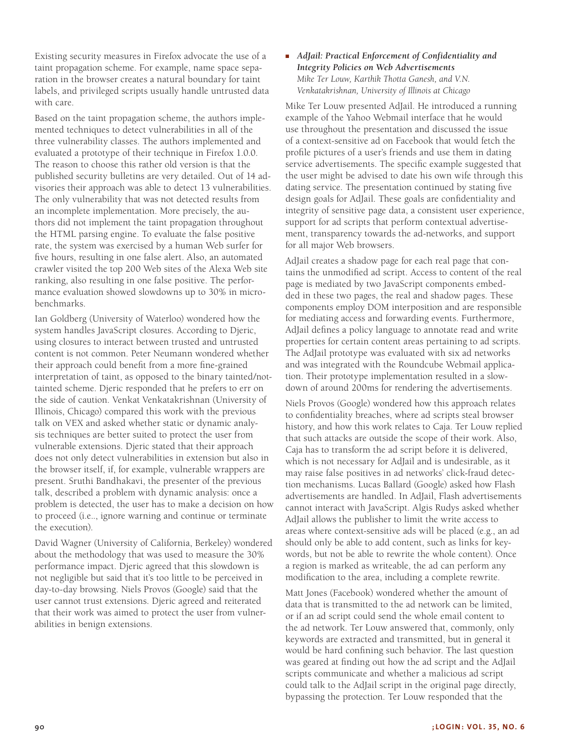Existing security measures in Firefox advocate the use of a taint propagation scheme. For example, name space separation in the browser creates a natural boundary for taint labels, and privileged scripts usually handle untrusted data with care.

Based on the taint propagation scheme, the authors implemented techniques to detect vulnerabilities in all of the three vulnerability classes. The authors implemented and evaluated a prototype of their technique in Firefox 1.0.0. The reason to choose this rather old version is that the published security bulletins are very detailed. Out of 14 advisories their approach was able to detect 13 vulnerabilities. The only vulnerability that was not detected results from an incomplete implementation. More precisely, the authors did not implement the taint propagation throughout the HTML parsing engine. To evaluate the false positive rate, the system was exercised by a human Web surfer for five hours, resulting in one false alert. Also, an automated crawler visited the top 200 Web sites of the Alexa Web site ranking, also resulting in one false positive. The performance evaluation showed slowdowns up to 30% in microbenchmarks.

Ian Goldberg (University of Waterloo) wondered how the system handles JavaScript closures. According to Djeric, using closures to interact between trusted and untrusted content is not common. Peter Neumann wondered whether their approach could benefit from a more fine-grained interpretation of taint, as opposed to the binary tainted/nottainted scheme. Djeric responded that he prefers to err on the side of caution. Venkat Venkatakrishnan (University of Illinois, Chicago) compared this work with the previous talk on VEX and asked whether static or dynamic analysis techniques are better suited to protect the user from vulnerable extensions. Djeric stated that their approach does not only detect vulnerabilities in extension but also in the browser itself, if, for example, vulnerable wrappers are present. Sruthi Bandhakavi, the presenter of the previous talk, described a problem with dynamic analysis: once a problem is detected, the user has to make a decision on how to proceed (i.e.., ignore warning and continue or terminate the execution).

David Wagner (University of California, Berkeley) wondered about the methodology that was used to measure the 30% performance impact. Djeric agreed that this slowdown is not negligible but said that it's too little to be perceived in day-to-day browsing. Niels Provos (Google) said that the user cannot trust extensions. Djeric agreed and reiterated that their work was aimed to protect the user from vulnerabilities in benign extensions.

# ■ *AdJail: Practical Enforcement of Confidentiality and Integrity Policies on Web Advertisements Mike Ter Louw, Karthik Thotta Ganesh, and V.N. Venkatakrishnan, University of Illinois at Chicago*

Mike Ter Louw presented AdJail. He introduced a running example of the Yahoo Webmail interface that he would use throughout the presentation and discussed the issue of a context-sensitive ad on Facebook that would fetch the profile pictures of a user's friends and use them in dating service advertisements. The specific example suggested that the user might be advised to date his own wife through this dating service. The presentation continued by stating five design goals for AdJail. These goals are confidentiality and integrity of sensitive page data, a consistent user experience, support for ad scripts that perform contextual advertisement, transparency towards the ad-networks, and support for all major Web browsers.

AdJail creates a shadow page for each real page that contains the unmodified ad script. Access to content of the real page is mediated by two JavaScript components embedded in these two pages, the real and shadow pages. These components employ DOM interposition and are responsible for mediating access and forwarding events. Furthermore, AdJail defines a policy language to annotate read and write properties for certain content areas pertaining to ad scripts. The AdJail prototype was evaluated with six ad networks and was integrated with the Roundcube Webmail application. Their prototype implementation resulted in a slowdown of around 200ms for rendering the advertisements.

Niels Provos (Google) wondered how this approach relates to confidentiality breaches, where ad scripts steal browser history, and how this work relates to Caja. Ter Louw replied that such attacks are outside the scope of their work. Also, Caja has to transform the ad script before it is delivered, which is not necessary for AdJail and is undesirable, as it may raise false positives in ad networks' click-fraud detection mechanisms. Lucas Ballard (Google) asked how Flash advertisements are handled. In AdJail, Flash advertisements cannot interact with JavaScript. Algis Rudys asked whether AdJail allows the publisher to limit the write access to areas where context-sensitive ads will be placed (e.g., an ad should only be able to add content, such as links for keywords, but not be able to rewrite the whole content). Once a region is marked as writeable, the ad can perform any modification to the area, including a complete rewrite.

Matt Jones (Facebook) wondered whether the amount of data that is transmitted to the ad network can be limited, or if an ad script could send the whole email content to the ad network. Ter Louw answered that, commonly, only keywords are extracted and transmitted, but in general it would be hard confining such behavior. The last question was geared at finding out how the ad script and the AdJail scripts communicate and whether a malicious ad script could talk to the AdJail script in the original page directly, bypassing the protection. Ter Louw responded that the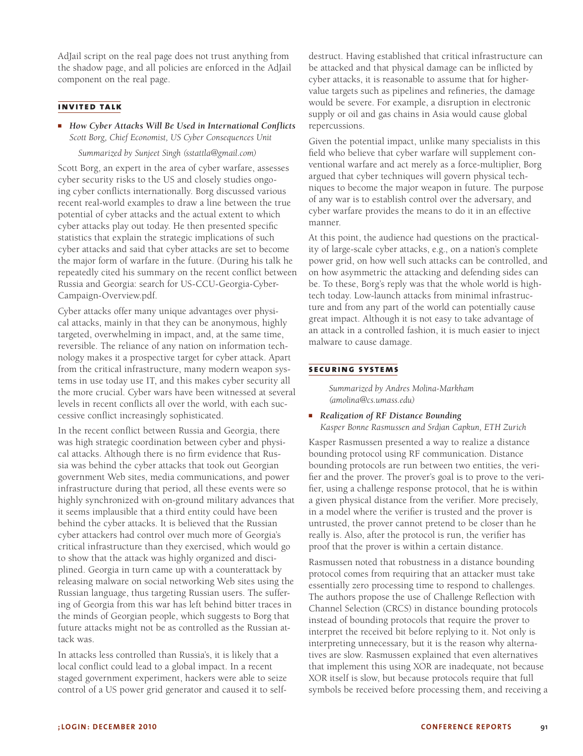AdJail script on the real page does not trust anything from the shadow page, and all policies are enforced in the AdJail component on the real page.

# **invited talk**

■ *How Cyber Attacks Will Be Used in International Conflicts Scott Borg, Chief Economist, US Cyber Consequences Unit Summarized by Sunjeet Singh (sstattla@gmail.com)*

Scott Borg, an expert in the area of cyber warfare, assesses cyber security risks to the US and closely studies ongoing cyber conflicts internationally. Borg discussed various recent real-world examples to draw a line between the true potential of cyber attacks and the actual extent to which cyber attacks play out today. He then presented specific statistics that explain the strategic implications of such cyber attacks and said that cyber attacks are set to become the major form of warfare in the future. (During his talk he repeatedly cited his summary on the recent conflict between Russia and Georgia: search for US-CCU-Georgia-Cyber-Campaign-Overview.pdf.

Cyber attacks offer many unique advantages over physical attacks, mainly in that they can be anonymous, highly targeted, overwhelming in impact, and, at the same time, reversible. The reliance of any nation on information technology makes it a prospective target for cyber attack. Apart from the critical infrastructure, many modern weapon systems in use today use IT, and this makes cyber security all the more crucial. Cyber wars have been witnessed at several levels in recent conflicts all over the world, with each successive conflict increasingly sophisticated.

In the recent conflict between Russia and Georgia, there was high strategic coordination between cyber and physical attacks. Although there is no firm evidence that Russia was behind the cyber attacks that took out Georgian government Web sites, media communications, and power infrastructure during that period, all these events were so highly synchronized with on-ground military advances that it seems implausible that a third entity could have been behind the cyber attacks. It is believed that the Russian cyber attackers had control over much more of Georgia's critical infrastructure than they exercised, which would go to show that the attack was highly organized and disciplined. Georgia in turn came up with a counterattack by releasing malware on social networking Web sites using the Russian language, thus targeting Russian users. The suffering of Georgia from this war has left behind bitter traces in the minds of Georgian people, which suggests to Borg that future attacks might not be as controlled as the Russian attack was.

In attacks less controlled than Russia's, it is likely that a local conflict could lead to a global impact. In a recent staged government experiment, hackers were able to seize control of a US power grid generator and caused it to selfdestruct. Having established that critical infrastructure can be attacked and that physical damage can be inflicted by cyber attacks, it is reasonable to assume that for highervalue targets such as pipelines and refineries, the damage would be severe. For example, a disruption in electronic supply or oil and gas chains in Asia would cause global repercussions.

Given the potential impact, unlike many specialists in this field who believe that cyber warfare will supplement conventional warfare and act merely as a force-multiplier, Borg argued that cyber techniques will govern physical techniques to become the major weapon in future. The purpose of any war is to establish control over the adversary, and cyber warfare provides the means to do it in an effective manner.

At this point, the audience had questions on the practicality of large-scale cyber attacks, e.g., on a nation's complete power grid, on how well such attacks can be controlled, and on how asymmetric the attacking and defending sides can be. To these, Borg's reply was that the whole world is hightech today. Low-launch attacks from minimal infrastructure and from any part of the world can potentially cause great impact. Although it is not easy to take advantage of an attack in a controlled fashion, it is much easier to inject malware to cause damage.

#### **securing systems**

*Summarized by Andres Molina-Markham (amolina@cs.umass.edu)*

■ *Realization of RF Distance Bounding Kasper Bonne Rasmussen and Srdjan Capkun, ETH Zurich*

Kasper Rasmussen presented a way to realize a distance bounding protocol using RF communication. Distance bounding protocols are run between two entities, the verifier and the prover. The prover's goal is to prove to the verifier, using a challenge response protocol, that he is within a given physical distance from the verifier. More precisely, in a model where the verifier is trusted and the prover is untrusted, the prover cannot pretend to be closer than he really is. Also, after the protocol is run, the verifier has proof that the prover is within a certain distance.

Rasmussen noted that robustness in a distance bounding protocol comes from requiring that an attacker must take essentially zero processing time to respond to challenges. The authors propose the use of Challenge Reflection with Channel Selection (CRCS) in distance bounding protocols instead of bounding protocols that require the prover to interpret the received bit before replying to it. Not only is interpreting unnecessary, but it is the reason why alternatives are slow. Rasmussen explained that even alternatives that implement this using XOR are inadequate, not because XOR itself is slow, but because protocols require that full symbols be received before processing them, and receiving a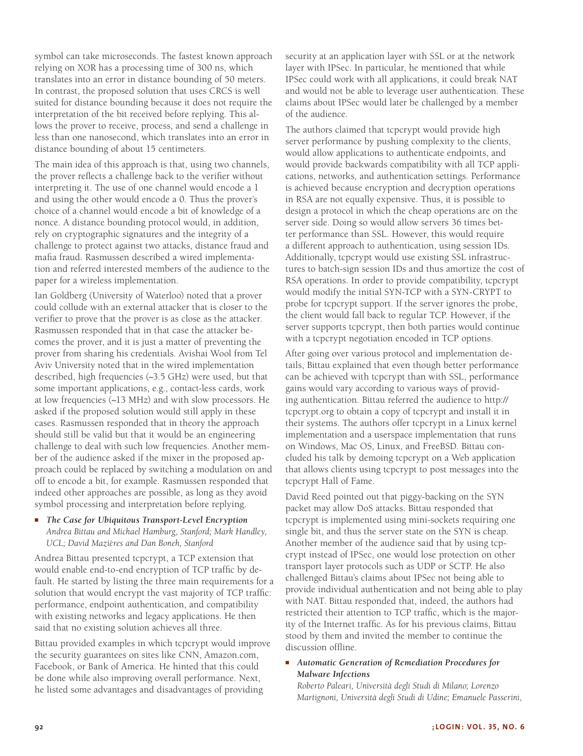symbol can take microseconds. The fastest known approach relying on XOR has a processing time of 300 ns, which translates into an error in distance bounding of 50 meters. In contrast, the proposed solution that uses CRCS is well suited for distance bounding because it does not require the interpretation of the bit received before replying. This allows the prover to receive, process, and send a challenge in less than one nanosecond, which translates into an error in distance bounding of about 15 centimeters.

The main idea of this approach is that, using two channels, the prover reflects a challenge back to the verifier without interpreting it. The use of one channel would encode a 1 and using the other would encode a 0. Thus the prover's choice of a channel would encode a bit of knowledge of a nonce. A distance bounding protocol would, in addition, rely on cryptographic signatures and the integrity of a challenge to protect against two attacks, distance fraud and mafia fraud. Rasmussen described a wired implementation and referred interested members of the audience to the paper for a wireless implementation.

Ian Goldberg (University of Waterloo) noted that a prover could collude with an external attacker that is closer to the verifier to prove that the prover is as close as the attacker. Rasmussen responded that in that case the attacker becomes the prover, and it is just a matter of preventing the prover from sharing his credentials. Avishai Wool from Tel Aviv University noted that in the wired implementation described, high frequencies (~3.5 GHz) were used, but that some important applications, e.g., contact-less cards, work at low frequencies (~13 MHz) and with slow processors. He asked if the proposed solution would still apply in these cases. Rasmussen responded that in theory the approach should still be valid but that it would be an engineering challenge to deal with such low frequencies. Another member of the audience asked if the mixer in the proposed approach could be replaced by switching a modulation on and off to encode a bit, for example. Rasmussen responded that indeed other approaches are possible, as long as they avoid symbol processing and interpretation before replying.

#### ■ *The Case for Ubiquitous Transport-Level Encryption Andrea Bittau and Michael Hamburg, Stanford; Mark Handley, UCL; David Mazières and Dan Boneh, Stanford*

Andrea Bittau presented tcpcrypt, a TCP extension that would enable end-to-end encryption of TCP traffic by default. He started by listing the three main requirements for a solution that would encrypt the vast majority of TCP traffic: performance, endpoint authentication, and compatibility with existing networks and legacy applications. He then said that no existing solution achieves all three.

Bittau provided examples in which tcpcrypt would improve the security guarantees on sites like CNN, Amazon.com, Facebook, or Bank of America. He hinted that this could be done while also improving overall performance. Next, he listed some advantages and disadvantages of providing

security at an application layer with SSL or at the network layer with IPSec. In particular, he mentioned that while IPSec could work with all applications, it could break NAT and would not be able to leverage user authentication. These claims about IPSec would later be challenged by a member of the audience.

The authors claimed that tcpcrypt would provide high server performance by pushing complexity to the clients, would allow applications to authenticate endpoints, and would provide backwards compatibility with all TCP applications, networks, and authentication settings. Performance is achieved because encryption and decryption operations in RSA are not equally expensive. Thus, it is possible to design a protocol in which the cheap operations are on the server side. Doing so would allow servers 36 times better performance than SSL. However, this would require a different approach to authentication, using session IDs. Additionally, tcpcrypt would use existing SSL infrastructures to batch-sign session IDs and thus amortize the cost of RSA operations. In order to provide compatibility, tcpcrypt would modify the initial SYN-TCP with a SYN-CRYPT to probe for tcpcrypt support. If the server ignores the probe, the client would fall back to regular TCP. However, if the server supports tcpcrypt, then both parties would continue with a tcpcrypt negotiation encoded in TCP options.

After going over various protocol and implementation details, Bittau explained that even though better performance can be achieved with tcpcrypt than with SSL, performance gains would vary according to various ways of providing authentication. Bittau referred the audience to http:// tcpcrypt.org to obtain a copy of tcpcrypt and install it in their systems. The authors offer tcpcrypt in a Linux kernel implementation and a userspace implementation that runs on Windows, Mac OS, Linux, and FreeBSD. Bittau concluded his talk by demoing tcpcrypt on a Web application that allows clients using tcpcrypt to post messages into the tcpcrypt Hall of Fame.

David Reed pointed out that piggy-backing on the SYN packet may allow DoS attacks. Bittau responded that tcpcrypt is implemented using mini-sockets requiring one single bit, and thus the server state on the SYN is cheap. Another member of the audience said that by using tcpcrypt instead of IPSec, one would lose protection on other transport layer protocols such as UDP or SCTP. He also challenged Bittau's claims about IPSec not being able to provide individual authentication and not being able to play with NAT. Bittau responded that, indeed, the authors had restricted their attention to TCP traffic, which is the majority of the Internet traffic. As for his previous claims, Bittau stood by them and invited the member to continue the discussion offline.

#### ■ *Automatic Generation of Remediation Procedures for Malware Infections*

*Roberto Paleari, Università degli Studi di Milano; Lorenzo Martignoni, Università degli Studi di Udine; Emanuele Passerini,*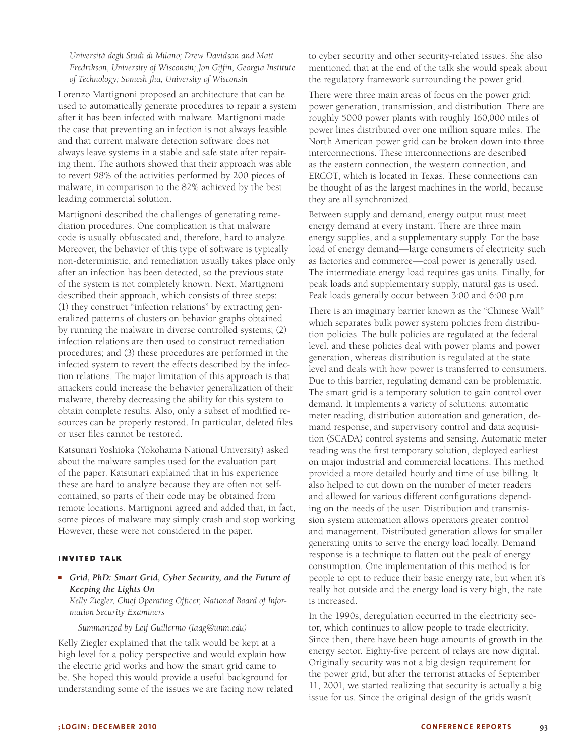*Università degli Studi di Milano; Drew Davidson and Matt Fredrikson, University of Wisconsin; Jon Giffin, Georgia Institute of Technology; Somesh Jha, University of Wisconsin*

Lorenzo Martignoni proposed an architecture that can be used to automatically generate procedures to repair a system after it has been infected with malware. Martignoni made the case that preventing an infection is not always feasible and that current malware detection software does not always leave systems in a stable and safe state after repairing them. The authors showed that their approach was able to revert 98% of the activities performed by 200 pieces of malware, in comparison to the 82% achieved by the best leading commercial solution.

Martignoni described the challenges of generating remediation procedures. One complication is that malware code is usually obfuscated and, therefore, hard to analyze. Moreover, the behavior of this type of software is typically non-deterministic, and remediation usually takes place only after an infection has been detected, so the previous state of the system is not completely known. Next, Martignoni described their approach, which consists of three steps: (1) they construct "infection relations" by extracting generalized patterns of clusters on behavior graphs obtained by running the malware in diverse controlled systems; (2) infection relations are then used to construct remediation procedures; and (3) these procedures are performed in the infected system to revert the effects described by the infection relations. The major limitation of this approach is that attackers could increase the behavior generalization of their malware, thereby decreasing the ability for this system to obtain complete results. Also, only a subset of modified resources can be properly restored. In particular, deleted files or user files cannot be restored.

Katsunari Yoshioka (Yokohama National University) asked about the malware samples used for the evaluation part of the paper. Katsunari explained that in his experience these are hard to analyze because they are often not selfcontained, so parts of their code may be obtained from remote locations. Martignoni agreed and added that, in fact, some pieces of malware may simply crash and stop working. However, these were not considered in the paper.

# **invited talk**

■ *Grid, PhD: Smart Grid, Cyber Security, and the Future of Keeping the Lights On*

*Kelly Ziegler, Chief Operating Officer, National Board of Information Security Examiners*

*Summarized by Leif Guillermo (laag@unm.edu)*

Kelly Ziegler explained that the talk would be kept at a high level for a policy perspective and would explain how the electric grid works and how the smart grid came to be. She hoped this would provide a useful background for understanding some of the issues we are facing now related to cyber security and other security-related issues. She also mentioned that at the end of the talk she would speak about the regulatory framework surrounding the power grid.

There were three main areas of focus on the power grid: power generation, transmission, and distribution. There are roughly 5000 power plants with roughly 160,000 miles of power lines distributed over one million square miles. The North American power grid can be broken down into three interconnections. These interconnections are described as the eastern connection, the western connection, and ERCOT, which is located in Texas. These connections can be thought of as the largest machines in the world, because they are all synchronized.

Between supply and demand, energy output must meet energy demand at every instant. There are three main energy supplies, and a supplementary supply. For the base load of energy demand—large consumers of electricity such as factories and commerce—coal power is generally used. The intermediate energy load requires gas units. Finally, for peak loads and supplementary supply, natural gas is used. Peak loads generally occur between 3:00 and 6:00 p.m.

There is an imaginary barrier known as the "Chinese Wall" which separates bulk power system policies from distribution policies. The bulk policies are regulated at the federal level, and these policies deal with power plants and power generation, whereas distribution is regulated at the state level and deals with how power is transferred to consumers. Due to this barrier, regulating demand can be problematic. The smart grid is a temporary solution to gain control over demand. It implements a variety of solutions: automatic meter reading, distribution automation and generation, demand response, and supervisory control and data acquisition (SCADA) control systems and sensing. Automatic meter reading was the first temporary solution, deployed earliest on major industrial and commercial locations. This method provided a more detailed hourly and time of use billing. It also helped to cut down on the number of meter readers and allowed for various different configurations depending on the needs of the user. Distribution and transmission system automation allows operators greater control and management. Distributed generation allows for smaller generating units to serve the energy load locally. Demand response is a technique to flatten out the peak of energy consumption. One implementation of this method is for people to opt to reduce their basic energy rate, but when it's really hot outside and the energy load is very high, the rate is increased.

In the 1990s, deregulation occurred in the electricity sector, which continues to allow people to trade electricity. Since then, there have been huge amounts of growth in the energy sector. Eighty-five percent of relays are now digital. Originally security was not a big design requirement for the power grid, but after the terrorist attacks of September 11, 2001, we started realizing that security is actually a big issue for us. Since the original design of the grids wasn't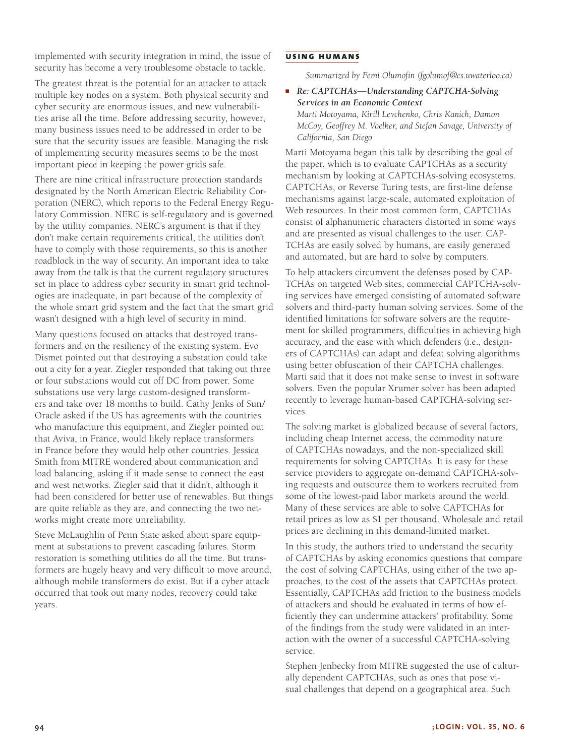implemented with security integration in mind, the issue of security has become a very troublesome obstacle to tackle.

The greatest threat is the potential for an attacker to attack multiple key nodes on a system. Both physical security and cyber security are enormous issues, and new vulnerabilities arise all the time. Before addressing security, however, many business issues need to be addressed in order to be sure that the security issues are feasible. Managing the risk of implementing security measures seems to be the most important piece in keeping the power grids safe.

There are nine critical infrastructure protection standards designated by the North American Electric Reliability Corporation (NERC), which reports to the Federal Energy Regulatory Commission. NERC is self-regulatory and is governed by the utility companies. NERC's argument is that if they don't make certain requirements critical, the utilities don't have to comply with those requirements, so this is another roadblock in the way of security. An important idea to take away from the talk is that the current regulatory structures set in place to address cyber security in smart grid technologies are inadequate, in part because of the complexity of the whole smart grid system and the fact that the smart grid wasn't designed with a high level of security in mind.

Many questions focused on attacks that destroyed transformers and on the resiliency of the existing system. Evo Dismet pointed out that destroying a substation could take out a city for a year. Ziegler responded that taking out three or four substations would cut off DC from power. Some substations use very large custom-designed transformers and take over 18 months to build. Cathy Jenks of Sun/ Oracle asked if the US has agreements with the countries who manufacture this equipment, and Ziegler pointed out that Aviva, in France, would likely replace transformers in France before they would help other countries. Jessica Smith from MITRE wondered about communication and load balancing, asking if it made sense to connect the east and west networks. Ziegler said that it didn't, although it had been considered for better use of renewables. But things are quite reliable as they are, and connecting the two networks might create more unreliability.

Steve McLaughlin of Penn State asked about spare equipment at substations to prevent cascading failures. Storm restoration is something utilities do all the time. But transformers are hugely heavy and very difficult to move around, although mobile transformers do exist. But if a cyber attack occurred that took out many nodes, recovery could take years.

#### **using humans**

*Summarized by Femi Olumofin (fgolumof@cs.uwaterloo.ca)*

■ *Re: CAPTCHAs—Understanding CAPTCHA-Solving Services in an Economic Context Marti Motoyama, Kirill Levchenko, Chris Kanich, Damon McCoy, Geoffrey M. Voelker, and Stefan Savage, University of California, San Diego*

Marti Motoyama began this talk by describing the goal of the paper, which is to evaluate CAPTCHAs as a security mechanism by looking at CAPTCHAs-solving ecosystems. CAPTCHAs, or Reverse Turing tests, are first-line defense mechanisms against large-scale, automated exploitation of Web resources. In their most common form, CAPTCHAs consist of alphanumeric characters distorted in some ways and are presented as visual challenges to the user. CAP-TCHAs are easily solved by humans, are easily generated and automated, but are hard to solve by computers.

To help attackers circumvent the defenses posed by CAP-TCHAs on targeted Web sites, commercial CAPTCHA-solving services have emerged consisting of automated software solvers and third-party human solving services. Some of the identified limitations for software solvers are the requirement for skilled programmers, difficulties in achieving high accuracy, and the ease with which defenders (i.e., designers of CAPTCHAs) can adapt and defeat solving algorithms using better obfuscation of their CAPTCHA challenges. Marti said that it does not make sense to invest in software solvers. Even the popular Xrumer solver has been adapted recently to leverage human-based CAPTCHA-solving services.

The solving market is globalized because of several factors, including cheap Internet access, the commodity nature of CAPTCHAs nowadays, and the non-specialized skill requirements for solving CAPTCHAs. It is easy for these service providers to aggregate on-demand CAPTCHA-solving requests and outsource them to workers recruited from some of the lowest-paid labor markets around the world. Many of these services are able to solve CAPTCHAs for retail prices as low as \$1 per thousand. Wholesale and retail prices are declining in this demand-limited market.

In this study, the authors tried to understand the security of CAPTCHAs by asking economics questions that compare the cost of solving CAPTCHAs, using either of the two approaches, to the cost of the assets that CAPTCHAs protect. Essentially, CAPTCHAs add friction to the business models of attackers and should be evaluated in terms of how efficiently they can undermine attackers' profitability. Some of the findings from the study were validated in an interaction with the owner of a successful CAPTCHA-solving service.

Stephen Jenbecky from MITRE suggested the use of culturally dependent CAPTCHAs, such as ones that pose visual challenges that depend on a geographical area. Such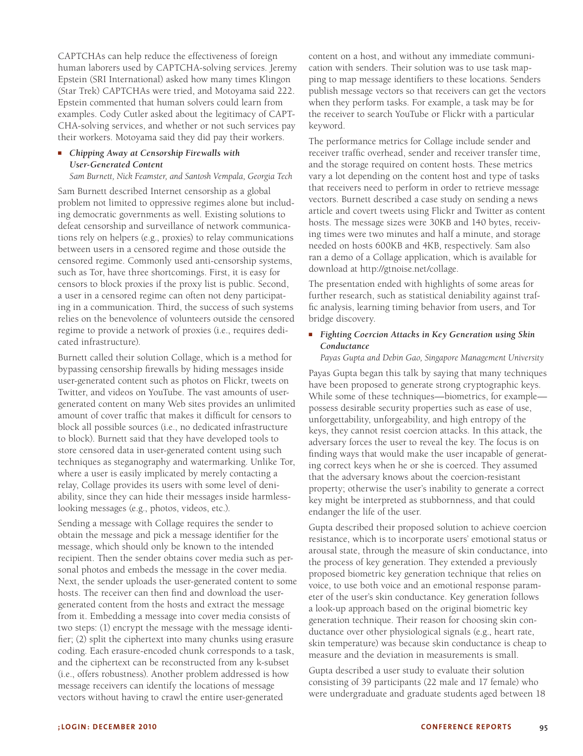CAPTCHAs can help reduce the effectiveness of foreign human laborers used by CAPTCHA-solving services. Jeremy Epstein (SRI International) asked how many times Klingon (Star Trek) CAPTCHAs were tried, and Motoyama said 222. Epstein commented that human solvers could learn from examples. Cody Cutler asked about the legitimacy of CAPT-CHA-solving services, and whether or not such services pay their workers. Motoyama said they did pay their workers.

#### ■ *Chipping Away at Censorship Firewalls with User-Generated Content*

*Sam Burnett, Nick Feamster, and Santosh Vempala, Georgia Tech*

Sam Burnett described Internet censorship as a global problem not limited to oppressive regimes alone but including democratic governments as well. Existing solutions to defeat censorship and surveillance of network communications rely on helpers (e.g., proxies) to relay communications between users in a censored regime and those outside the censored regime. Commonly used anti-censorship systems, such as Tor, have three shortcomings. First, it is easy for censors to block proxies if the proxy list is public. Second, a user in a censored regime can often not deny participating in a communication. Third, the success of such systems relies on the benevolence of volunteers outside the censored regime to provide a network of proxies (i.e., requires dedicated infrastructure).

Burnett called their solution Collage, which is a method for bypassing censorship firewalls by hiding messages inside user-generated content such as photos on Flickr, tweets on Twitter, and videos on YouTube. The vast amounts of usergenerated content on many Web sites provides an unlimited amount of cover traffic that makes it difficult for censors to block all possible sources (i.e., no dedicated infrastructure to block). Burnett said that they have developed tools to store censored data in user-generated content using such techniques as steganography and watermarking. Unlike Tor, where a user is easily implicated by merely contacting a relay, Collage provides its users with some level of deniability, since they can hide their messages inside harmlesslooking messages (e.g., photos, videos, etc.).

Sending a message with Collage requires the sender to obtain the message and pick a message identifier for the message, which should only be known to the intended recipient. Then the sender obtains cover media such as personal photos and embeds the message in the cover media. Next, the sender uploads the user-generated content to some hosts. The receiver can then find and download the usergenerated content from the hosts and extract the message from it. Embedding a message into cover media consists of two steps: (1) encrypt the message with the message identifier; (2) split the ciphertext into many chunks using erasure coding. Each erasure-encoded chunk corresponds to a task, and the ciphertext can be reconstructed from any k-subset (i.e., offers robustness). Another problem addressed is how message receivers can identify the locations of message vectors without having to crawl the entire user-generated

content on a host, and without any immediate communication with senders. Their solution was to use task mapping to map message identifiers to these locations. Senders publish message vectors so that receivers can get the vectors when they perform tasks. For example, a task may be for the receiver to search YouTube or Flickr with a particular keyword.

The performance metrics for Collage include sender and receiver traffic overhead, sender and receiver transfer time, and the storage required on content hosts. These metrics vary a lot depending on the content host and type of tasks that receivers need to perform in order to retrieve message vectors. Burnett described a case study on sending a news article and covert tweets using Flickr and Twitter as content hosts. The message sizes were 30KB and 140 bytes, receiving times were two minutes and half a minute, and storage needed on hosts 600KB and 4KB, respectively. Sam also ran a demo of a Collage application, which is available for download at http://gtnoise.net/collage.

The presentation ended with highlights of some areas for further research, such as statistical deniability against traffic analysis, learning timing behavior from users, and Tor bridge discovery.

### ■ *Fighting Coercion Attacks in Key Generation using Skin Conductance*

*Payas Gupta and Debin Gao, Singapore Management University*

Payas Gupta began this talk by saying that many techniques have been proposed to generate strong cryptographic keys. While some of these techniques—biometrics, for example possess desirable security properties such as ease of use, unforgettability, unforgeability, and high entropy of the keys, they cannot resist coercion attacks. In this attack, the adversary forces the user to reveal the key. The focus is on finding ways that would make the user incapable of generating correct keys when he or she is coerced. They assumed that the adversary knows about the coercion-resistant property; otherwise the user's inability to generate a correct key might be interpreted as stubbornness, and that could endanger the life of the user.

Gupta described their proposed solution to achieve coercion resistance, which is to incorporate users' emotional status or arousal state, through the measure of skin conductance, into the process of key generation. They extended a previously proposed biometric key generation technique that relies on voice, to use both voice and an emotional response parameter of the user's skin conductance. Key generation follows a look-up approach based on the original biometric key generation technique. Their reason for choosing skin conductance over other physiological signals (e.g., heart rate, skin temperature) was because skin conductance is cheap to measure and the deviation in measurements is small.

Gupta described a user study to evaluate their solution consisting of 39 participants (22 male and 17 female) who were undergraduate and graduate students aged between 18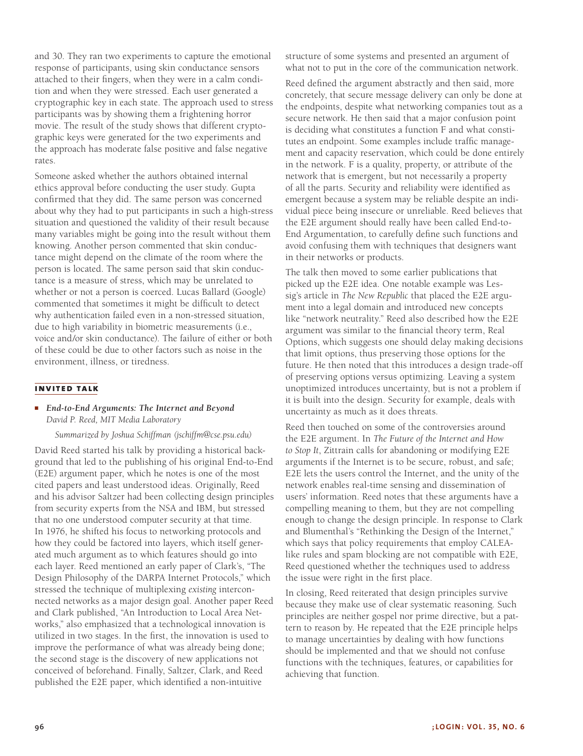and 30. They ran two experiments to capture the emotional response of participants, using skin conductance sensors attached to their fingers, when they were in a calm condition and when they were stressed. Each user generated a cryptographic key in each state. The approach used to stress participants was by showing them a frightening horror movie. The result of the study shows that different cryptographic keys were generated for the two experiments and the approach has moderate false positive and false negative rates.

Someone asked whether the authors obtained internal ethics approval before conducting the user study. Gupta confirmed that they did. The same person was concerned about why they had to put participants in such a high-stress situation and questioned the validity of their result because many variables might be going into the result without them knowing. Another person commented that skin conductance might depend on the climate of the room where the person is located. The same person said that skin conductance is a measure of stress, which may be unrelated to whether or not a person is coerced. Lucas Ballard (Google) commented that sometimes it might be difficult to detect why authentication failed even in a non-stressed situation, due to high variability in biometric measurements (i.e., voice and/or skin conductance). The failure of either or both of these could be due to other factors such as noise in the environment, illness, or tiredness.

#### **invited talk**

#### ■ *End-to-End Arguments: The Internet and Beyond David P. Reed, MIT Media Laboratory*

*Summarized by Joshua Schiffman (jschiffm@cse.psu.edu)*

David Reed started his talk by providing a historical background that led to the publishing of his original End-to-End (E2E) argument paper, which he notes is one of the most cited papers and least understood ideas. Originally, Reed and his advisor Saltzer had been collecting design principles from security experts from the NSA and IBM, but stressed that no one understood computer security at that time. In 1976, he shifted his focus to networking protocols and how they could be factored into layers, which itself generated much argument as to which features should go into each layer. Reed mentioned an early paper of Clark's, "The Design Philosophy of the DARPA Internet Protocols," which stressed the technique of multiplexing *existing* interconnected networks as a major design goal. Another paper Reed and Clark published, "An Introduction to Local Area Networks," also emphasized that a technological innovation is utilized in two stages. In the first, the innovation is used to improve the performance of what was already being done; the second stage is the discovery of new applications not conceived of beforehand. Finally, Saltzer, Clark, and Reed published the E2E paper, which identified a non-intuitive

structure of some systems and presented an argument of what not to put in the core of the communication network.

Reed defined the argument abstractly and then said, more concretely, that secure message delivery can only be done at the endpoints, despite what networking companies tout as a secure network. He then said that a major confusion point is deciding what constitutes a function F and what constitutes an endpoint. Some examples include traffic management and capacity reservation, which could be done entirely in the network. F is a quality, property, or attribute of the network that is emergent, but not necessarily a property of all the parts. Security and reliability were identified as emergent because a system may be reliable despite an individual piece being insecure or unreliable. Reed believes that the E2E argument should really have been called End-to-End Argumentation, to carefully define such functions and avoid confusing them with techniques that designers want in their networks or products.

The talk then moved to some earlier publications that picked up the E2E idea. One notable example was Lessig's article in *The New Republic* that placed the E2E argument into a legal domain and introduced new concepts like "network neutrality." Reed also described how the E2E argument was similar to the financial theory term, Real Options, which suggests one should delay making decisions that limit options, thus preserving those options for the future. He then noted that this introduces a design trade-off of preserving options versus optimizing. Leaving a system unoptimized introduces uncertainty, but is not a problem if it is built into the design. Security for example, deals with uncertainty as much as it does threats.

Reed then touched on some of the controversies around the E2E argument. In *The Future of the Internet and How to Stop It*, Zittrain calls for abandoning or modifying E2E arguments if the Internet is to be secure, robust, and safe; E2E lets the users control the Internet, and the unity of the network enables real-time sensing and dissemination of users' information. Reed notes that these arguments have a compelling meaning to them, but they are not compelling enough to change the design principle. In response to Clark and Blumenthal's "Rethinking the Design of the Internet," which says that policy requirements that employ CALEAlike rules and spam blocking are not compatible with E2E, Reed questioned whether the techniques used to address the issue were right in the first place.

In closing, Reed reiterated that design principles survive because they make use of clear systematic reasoning. Such principles are neither gospel nor prime directive, but a pattern to reason by. He repeated that the E2E principle helps to manage uncertainties by dealing with how functions should be implemented and that we should not confuse functions with the techniques, features, or capabilities for achieving that function.